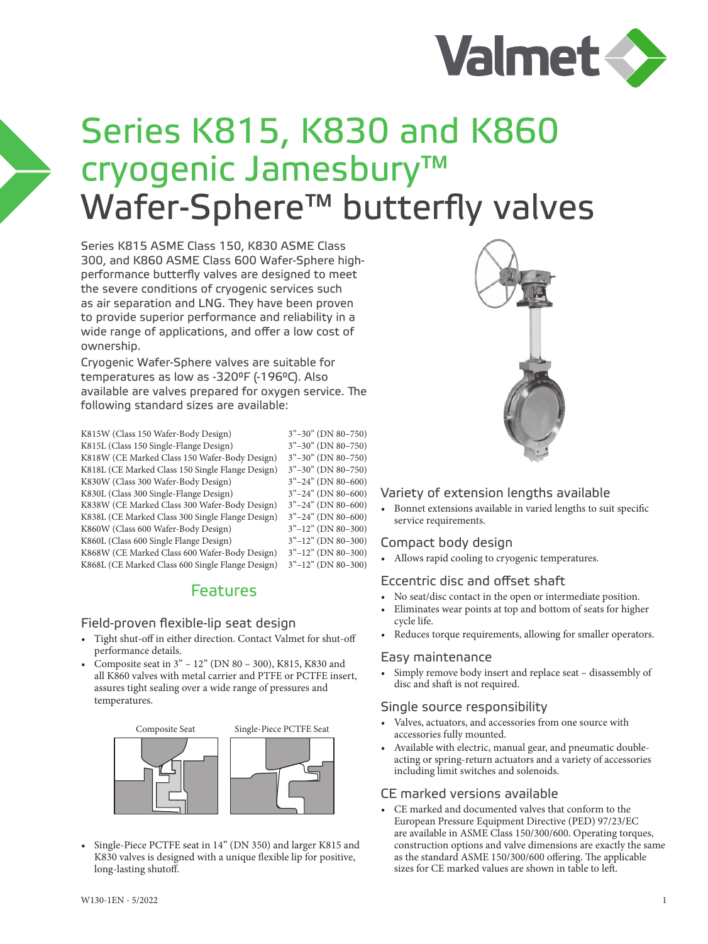

# Series K815, K830 and K860 cryogenic Jamesbury™ Wafer-Sphere<sup>™</sup> butterfly valves

Series K815 ASME Class 150, K830 ASME Class 300, and K860 ASME Class 600 Wafer-Sphere highperformance butterfly valves are designed to meet the severe conditions of cryogenic services such as air separation and LNG. They have been proven to provide superior performance and reliability in a wide range of applications, and offer a low cost of ownership.

Cryogenic Wafer-Sphere valves are suitable for temperatures as low as -320°F (-196°C). Also available are valves prepared for oxygen service. The following standard sizes are available:

K815W (Class 150 Wafer-Body Design) 3"–30" (DN 80–750)<br>K815L (Class 150 Single-Flange Design) 3"–30" (DN 80–750) K815L (Class 150 Single-Flange Design) K818W (CE Marked Class 150 Wafer-Body Design) 3"–30" (DN 80–750) K818L (CE Marked Class 150 Single Flange Design) 3"–30" (DN 80–750) K830W (Class 300 Wafer-Body Design) 3"–24" (DN 80–600)<br>K830L (Class 300 Single-Flange Design) 3"–24" (DN 80–600) K830L (Class 300 Single-Flange Design) K838W (CE Marked Class 300 Wafer-Body Design) 3"–24" (DN 80–600) K838L (CE Marked Class 300 Single Flange Design) 3"–24" (DN 80–600)<br>K860W (Class 600 Wafer-Body Design) 3"–12" (DN 80–300) K860W (Class 600 Wafer-Body Design) 3"–12" (DN 80–300)<br>K860L (Class 600 Single Flange Design) 3"–12" (DN 80–300) K860L (Class 600 Single Flange Design) K868W (CE Marked Class 600 Wafer-Body Design) 3"–12" (DN 80–300) K868L (CE Marked Class 600 Single Flange Design) 3"–12" (DN 80–300)

# Features

#### Field-proven flexible-lip seat design

- Tight shut-off in either direction. Contact Valmet for shut-off performance details.
- Composite seat in 3" 12" (DN 80 300), K815, K830 and all K860 valves with metal carrier and PTFE or PCTFE insert, assures tight sealing over a wide range of pressures and temperatures.



• Single-Piece PCTFE seat in 14" (DN 350) and larger K815 and K830 valves is designed with a unique flexible lip for positive, long-lasting shutoff.



#### Variety of extension lengths available

• Bonnet extensions available in varied lengths to suit specific service requirements.

## Compact body design

• Allows rapid cooling to cryogenic temperatures.

## Eccentric disc and offset shaft

- No seat/disc contact in the open or intermediate position.
- Eliminates wear points at top and bottom of seats for higher cycle life.
- Reduces torque requirements, allowing for smaller operators.

#### Easy maintenance

• Simply remove body insert and replace seat – disassembly of disc and shaft is not required.

#### Single source responsibility

- Valves, actuators, and accessories from one source with accessories fully mounted.
- Available with electric, manual gear, and pneumatic doubleacting or spring-return actuators and a variety of accessories including limit switches and solenoids.

## CE marked versions available

• CE marked and documented valves that conform to the European Pressure Equipment Directive (PED) 97/23/EC are available in ASME Class 150/300/600. Operating torques, construction options and valve dimensions are exactly the same as the standard ASME 150/300/600 offering. The applicable sizes for CE marked values are shown in table to left.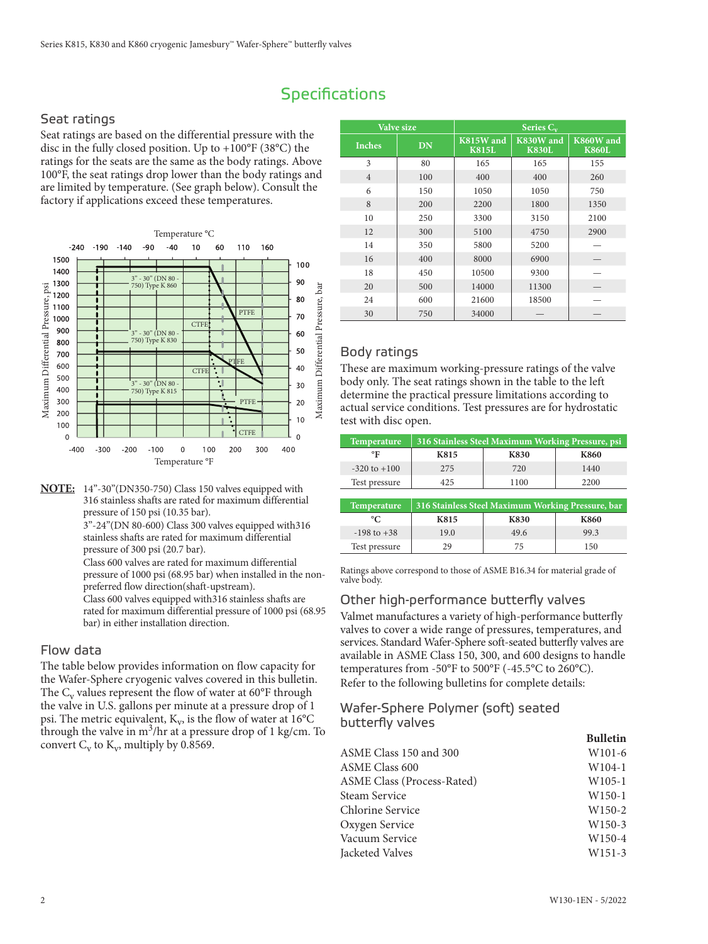# **Specifications**

#### Seat ratings

Seat ratings are based on the differential pressure with the disc in the fully closed position. Up to +100°F (38°C) the ratings for the seats are the same as the body ratings. Above 100°F, the seat ratings drop lower than the body ratings and are limited by temperature. (See graph below). Consult the factory if applications exceed these temperatures.



**NOTE:** 14"-30"(DN350-750) Class 150 valves equipped with 316 stainless shafts are rated for maximum differential pressure of 150 psi (10.35 bar).

 3"-24"(DN 80-600) Class 300 valves equipped with316 stainless shafts are rated for maximum differential pressure of 300 psi (20.7 bar).

 Class 600 valves are rated for maximum differential pressure of 1000 psi (68.95 bar) when installed in the nonpreferred flow direction(shaft-upstream).

 Class 600 valves equipped with316 stainless shafts are rated for maximum differential pressure of 1000 psi (68.95 bar) in either installation direction.

#### Flow data

The table below provides information on flow capacity for the Wafer-Sphere cryogenic valves covered in this bulletin. The  $C_v$  values represent the flow of water at 60 $\degree$ F through the valve in U.S. gallons per minute at a pressure drop of 1 psi. The metric equivalent,  $K_v$ , is the flow of water at 16°C through the valve in  $m^3/hr$  at a pressure drop of 1 kg/cm. To convert  $C_v$  to  $K_v$ , multiply by 0.8569.

|                | Valve size |                           | Series $C_v$              |                           |
|----------------|------------|---------------------------|---------------------------|---------------------------|
| <b>Inches</b>  | DN         | K815W and<br><b>K815L</b> | K830W and<br><b>K830L</b> | K860W and<br><b>K860L</b> |
| 3              | 80         | 165                       | 165                       | 155                       |
| $\overline{4}$ | 100        | 400                       | 400                       | 260                       |
| 6              | 150        | 1050                      | 1050                      | 750                       |
| 8              | 200        | 2200                      | 1800                      | 1350                      |
| 10             | 250        | 3300                      | 3150                      | 2100                      |
| 12             | 300        | 5100                      | 4750                      | 2900                      |
| 14             | 350        | 5800                      | 5200                      |                           |
| 16             | 400        | 8000                      | 6900                      |                           |
| 18             | 450        | 10500                     | 9300                      |                           |
| 20             | 500        | 14000                     | 11300                     |                           |
| 24             | 600        | 21600                     | 18500                     |                           |
| 30             | 750        | 34000                     |                           |                           |

#### Body ratings

These are maximum working-pressure ratings of the valve body only. The seat ratings shown in the table to the left determine the practical pressure limitations according to actual service conditions. Test pressures are for hydrostatic test with disc open.

| Temperature      |      | 316 Stainless Steel Maximum Working Pressure, psi |      |
|------------------|------|---------------------------------------------------|------|
| °Γ               | K815 | <b>K830</b>                                       | K860 |
| $-320$ to $+100$ | 2.75 | 720                                               | 1440 |
| Test pressure    | 425  | 1100                                              | 2200 |

| Temperature     |      | 316 Stainless Steel Maximum Working Pressure, bar |             |
|-----------------|------|---------------------------------------------------|-------------|
| °C              | K815 | <b>K830</b>                                       | <b>K860</b> |
| $-198$ to $+38$ | 19.0 | 49.6                                              | 99.3        |
| Test pressure   | 29   | 75                                                | 150         |

Ratings above correspond to those of ASME B16.34 for material grade of valve body.

#### Other high-performance butterfly valves

Valmet manufactures a variety of high-performance butterfly valves to cover a wide range of pressures, temperatures, and services. Standard Wafer-Sphere soft-seated butterfly valves are available in ASME Class 150, 300, and 600 designs to handle temperatures from -50°F to 500°F (-45.5°C to 260°C). Refer to the following bulletins for complete details:

#### Wafer-Sphere Polymer (soft) seated butterfly valves

|                                   | <b>Bulletin</b>    |
|-----------------------------------|--------------------|
| ASME Class 150 and 300            | W <sub>101-6</sub> |
| <b>ASME Class 600</b>             | $W104-1$           |
| <b>ASME Class (Process-Rated)</b> | W <sub>105-1</sub> |
| Steam Service                     | $W150-1$           |
| Chlorine Service                  | $W150-2$           |
| Oxygen Service                    | $W150-3$           |
| Vacuum Service                    | W <sub>150-4</sub> |
| Jacketed Valves                   | W <sub>151-3</sub> |
|                                   |                    |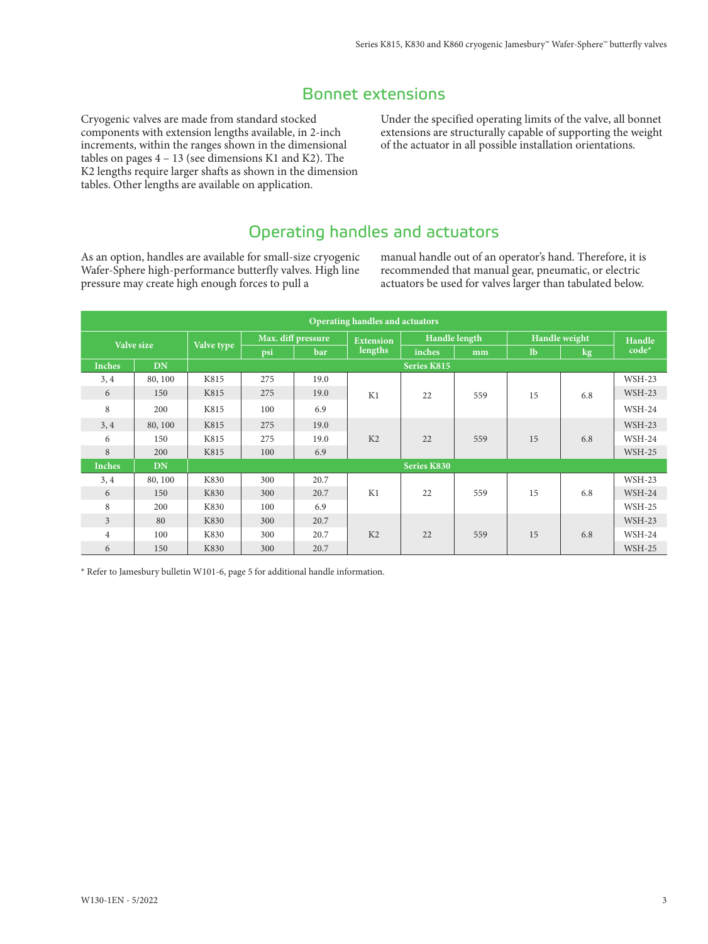# Bonnet extensions

Cryogenic valves are made from standard stocked components with extension lengths available, in 2-inch increments, within the ranges shown in the dimensional tables on pages  $4 - 13$  (see dimensions K1 and K2). The K2 lengths require larger shafts as shown in the dimension tables. Other lengths are available on application.

Under the specified operating limits of the valve, all bonnet extensions are structurally capable of supporting the weight of the actuator in all possible installation orientations.

# Operating handles and actuators

As an option, handles are available for small-size cryogenic Wafer-Sphere high-performance butterfly valves. High line pressure may create high enough forces to pull a

manual handle out of an operator's hand. Therefore, it is recommended that manual gear, pneumatic, or electric actuators be used for valves larger than tabulated below.

|                |            |            |     |                    | Operating handles and actuators |                    |               |      |               |          |
|----------------|------------|------------|-----|--------------------|---------------------------------|--------------------|---------------|------|---------------|----------|
|                | Valve size |            |     | Max. diff pressure | <b>Extension</b>                |                    | Handle length |      | Handle weight | Handle   |
|                |            | Valve type | psi | bar                | lengths                         | inches             | mm            | $lb$ | $\log$        | $code*$  |
| <b>Inches</b>  | <b>DN</b>  |            |     |                    |                                 | <b>Series K815</b> |               |      |               |          |
| 3, 4           | 80, 100    | K815       | 275 | 19.0               |                                 |                    |               |      |               | WSH-23   |
| 6              | 150        | K815       | 275 | 19.0               | K1                              | 22                 | 559           | 15   | 6.8           | $WSH-23$ |
| 8              | 200        | K815       | 100 | 6.9                |                                 |                    |               |      |               | WSH-24   |
| 3, 4           | 80, 100    | K815       | 275 | 19.0               |                                 |                    |               |      |               | $WSH-23$ |
| 6              | 150        | K815       | 275 | 19.0               | K <sub>2</sub>                  | 22                 | 559           | 15   | 6.8           | $WSH-24$ |
| 8              | 200        | K815       | 100 | 6.9                |                                 |                    |               |      |               | $WSH-25$ |
| <b>Inches</b>  | <b>DN</b>  |            |     |                    |                                 | <b>Series K830</b> |               |      |               |          |
| 3, 4           | 80, 100    | K830       | 300 | 20.7               |                                 |                    |               |      |               | $WSH-23$ |
| 6              | 150        | K830       | 300 | 20.7               | K1                              | 22                 | 559           | 15   | 6.8           | $WSH-24$ |
| 8              | 200        | K830       | 100 | 6.9                |                                 |                    |               |      |               | $WSH-25$ |
| $\overline{3}$ | 80         | K830       | 300 | 20.7               |                                 |                    |               |      |               | $WSH-23$ |
| $\overline{4}$ | 100        | K830       | 300 | 20.7               | K <sub>2</sub>                  | 22                 | 559           | 15   | 6.8           | $WSH-24$ |
| 6              | 150        | K830       | 300 | 20.7               |                                 |                    |               |      |               | $WSH-25$ |

\* Refer to Jamesbury bulletin W101-6, page 5 for additional handle information.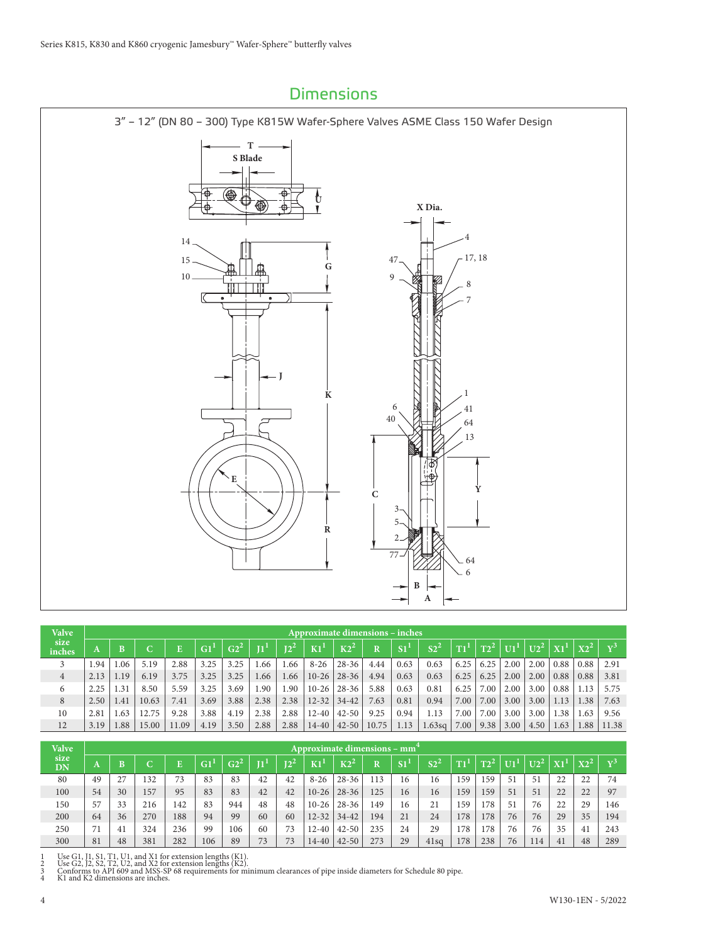

| <b>Valve</b>   |      |      |       |       |                 |        |         |        |                 | <b>Approximate dimensions – inches</b> |             |                 |                             |                 |        |                             |                 |                                      |         |                |
|----------------|------|------|-------|-------|-----------------|--------|---------|--------|-----------------|----------------------------------------|-------------|-----------------|-----------------------------|-----------------|--------|-----------------------------|-----------------|--------------------------------------|---------|----------------|
| size<br>inches |      | B    |       |       | G1 <sup>T</sup> | $G2^2$ | $\Pi^1$ | $12^2$ | K1 <sup>1</sup> | $K2^2$                                 | $\mathbf R$ | S1 <sup>1</sup> | S <sub>2</sub> <sup>2</sup> | T1 <sup>T</sup> | $T2^2$ | $\overline{U}$ <sup>1</sup> | U2 <sup>2</sup> | $\mathbf{X} \mathbf{1}^{\mathbf{1}}$ | $x_2^2$ | $\mathbf{v}^3$ |
|                | 1.94 | .06  | 5.19  | 2.88  | 3.25            | 3.25   | .66     | .66    | $8 - 26$        | $28 - 36$                              | 4.44        | 0.63            | 0.63                        | 6.25            | 6.25   | 2.00                        | 2.00            | 0.88                                 | 0.88    | 2.91           |
| $\overline{4}$ | 2.13 | 1.19 | 6.19  | 3.75  | 3.25            | 3.25   | 1.66    | 1.66   | $10-26$         | $28 - 36$                              | 4.94        | 0.63            | 0.63                        | 6.25            | 6.25   | 2.00                        | 2.00            | 0.88                                 | 0.88    | 3.81           |
| 6              | 2.25 | .31  | 8.50  | 5.59  | 3.25            | 3.69   | .90     | 1.90   | $10 - 26$       | $28 - 36$                              | 5.88        | 0.63            | 0.81                        | 6.25            | 7.00   | 2.00                        | 3.00            | 0.88                                 | 1.13    | 5.75           |
| 8              | 2.50 | .41  | 10.63 | 7.41  | 3.69            | 3.88   | 2.38    | 2.38   | $12 - 32$       | $34-42$                                | 7.63        | 0.81            | 0.94                        | 7.00            | 7.00   | 3.00                        | 3.00            | 1.13                                 | 1.38    | 7.63           |
| 10             | 2.81 | .63  | 12.75 | 9.28  | 3.88            | 4.19   | 2.38    | 2.88   | $12 - 40$       | $42 - 50$                              | 9.25        | 0.94            | 1.13                        | 7.00            | 7.00   | 3.00                        | 3.00            | 1.38                                 | 1.63    | 9.56           |
| 12             | 3.19 | .88  | 15.00 | 11.09 | 4.19            | 3.50   | 2.88    | 2.88   | $14 - 40$       | $42 - 50$                              | 10.75       | 1.13            | 1.63sq                      | 7.00            | 9.38   | 3.00                        | 4.50            | 1.63                                 | 1.88    | 11.38          |

| <b>Valve</b>      |    |    |     |     |     |             |       |        |           | Approximate dimensions – mm <sup>4</sup> |                       |                      |                 |                 |        |      |                 |                 |        |                 |
|-------------------|----|----|-----|-----|-----|-------------|-------|--------|-----------|------------------------------------------|-----------------------|----------------------|-----------------|-----------------|--------|------|-----------------|-----------------|--------|-----------------|
| size<br><b>DN</b> | A  | B  |     |     | G1  | $\rm{G2}^2$ | $\Pi$ | $12^4$ | K1        | $K2^2$                                   | $\overline{\text{R}}$ | $S\overline{\Gamma}$ | S2 <sup>2</sup> | T1 <sup>1</sup> | $T2^2$ | TIT. | U2 <sup>2</sup> | X1 <sup>1</sup> | $X2^2$ | $\mathbf{x}t^3$ |
| 80                | 49 | 27 | 132 | 73  | 83  | 83          | 42    | 42     | $8 - 26$  | $28 - 36$                                | 113                   | 16                   | 16              | 159             | 159    | 51   | 51              | 22              | 22     | 74              |
| 100               | 54 | 30 | 157 | 95  | 83  | 83          | 42    | 42     | $10-26$   | $28 - 36$                                | 125                   | 16                   | 16              | 159             | 159    | 51   | 51              | 22              | 22     | 97              |
| 150               | 57 | 33 | 216 | 142 | 83  | 944         | 48    | 48     | $10-26$   | $28 - 36$                                | 149                   | 16                   | 21              | 159             | 78     | 51   | 76              | 22              | 29     | 146             |
| 200               | 64 | 36 | 270 | 188 | 94  | 99          | 60    | 60     | $12 - 32$ | $34 - 42$                                | 194                   | 21                   | 24              | 178             | 178    | 76   | 76              | 29              | 35     | 194             |
| 250               | 71 | 41 | 324 | 236 | 99  | 106         | 60    | 73     | $12 - 40$ | $42 - 50$                                | 235                   | 24                   | 29              | 178             | 178    | 76   | 76              | 35              | 41     | 243             |
| 300               | 81 | 48 | 381 | 282 | 106 | 89          | 73    | 73     | 14-40     | $42 - 50$                                | 273                   | 29                   | 41sq            | 178             | 238    | 76   | 14              | 41              | 48     | 289             |

1 Use G1, J1, S1, T1, U1, and X1 for extension lengths (K1).<br>2 Use G2, J2, S2, T2, U2, and X2 for extension lengths (K2).<br>3 Conforms to API 609 and MSS-SP 68 requirements for minimum clearances of pipe inside diameters fo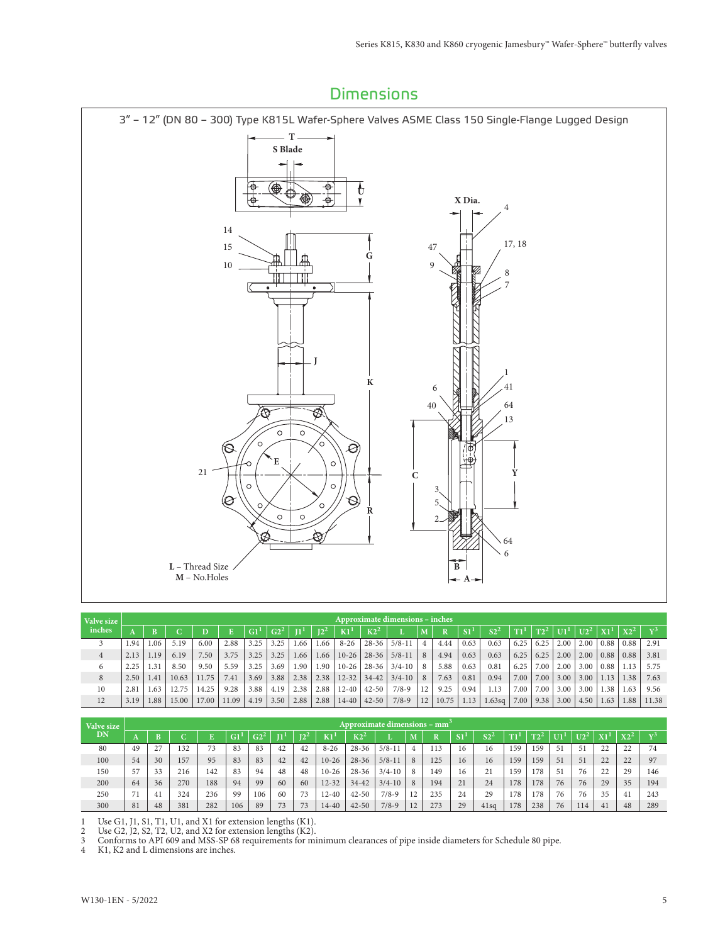

| Valve size     |      |      |       |       |       |      |        |       |                 |                 |               | <b>Approximate dimensions - inches</b> |    |       |      |                 |      |      |      |        |      |        |                |
|----------------|------|------|-------|-------|-------|------|--------|-------|-----------------|-----------------|---------------|----------------------------------------|----|-------|------|-----------------|------|------|------|--------|------|--------|----------------|
| inches         |      |      |       |       |       | GI   | $G2^2$ | ЧĿ    | 12 <sup>2</sup> | K1 <sup>1</sup> | $K2^2$        |                                        |    |       |      | S2 <sup>2</sup> | T1   |      | U1!  | $U2^2$ |      | $X2^2$ | $\overline{x}$ |
|                | 1.94 | .06  | 5.19  | 6.00  | 2.88  | 3.25 | 3.25   | . .66 | 1.66            | $8 - 26$        | $28 - 36$     | $5/8 - 11$                             | 4  | 4.44  | 0.63 | 0.63            | 6.25 | 6.25 | 2.00 | 2.00   | 0.88 | 0.88   | 2.91           |
| $\overline{4}$ | 2.13 | 1.19 | 6.19  | 7.50  | 3.75  | 3.25 | 3.25   | 1.66  | 1.66            | $10-26$         | $28 - 36$     | $5/8-11$                               | 8  | 4.94  | 0.63 | 0.63            | 6.25 | 6.25 | 2.00 | 2.00   | 0.88 | 0.88   | 3.81           |
| 6              | 2.25 | 1.31 | 8.50  | 9.50  | 5.59  | 3.25 | 3.69   | 1.90  | 1.90            |                 | $10-26$ 28-36 | $3/4 - 10$                             | 8  | 5.88  | 0.63 | 0.81            | 6.25 | 7.00 | 2.00 | 3.00   | 0.88 | 1.13   | 5.75           |
| 8              | 2.50 | 1.41 | 10.63 | 11.75 | 7.41  | 3.69 | 3.88   | 2.38  | 2.38            | $12 - 32$       | $34 - 42$     | $3/4 - 10$                             | 8  | 7.63  | 0.81 | 0.94            | 7.00 | 7.00 | 3.00 | 3.00   | 1.13 | 1.38   | 7.63           |
| 10             | 2.81 | 1.63 | 12.75 | 14.25 | 9.28  | 3.88 | 4.19   | 2.38  | 2.88            | $12 - 40$       | $42 - 50$     | $7/8-9$                                | 12 | 9.25  | 0.94 | 1.13            | 7.00 | 7.00 | 3.00 | 3.00   | 1.38 | 1.63   | 9.56           |
| 12             | 3.19 | 1.88 | 15.00 | 17.00 | 11.09 | 4.19 | 3.50   | 2.88  | 2.88            | $14 - 40$       | $42 - 50$     | $7/8-9$                                | 12 | 10.75 | 1.13 | 1.63sq          | 7.00 | 9.38 | 3.00 | 4.50   | 1.63 | 1.88   | 11.38          |

| Valve size |    |                    |     |     |     |     |    |     |           |               | Approximate dimensions – $mm3$ |    |     |                |                  |             |        |      |               |    |             |                |
|------------|----|--------------------|-----|-----|-----|-----|----|-----|-----------|---------------|--------------------------------|----|-----|----------------|------------------|-------------|--------|------|---------------|----|-------------|----------------|
| DN         | n  |                    |     |     | G1  |     |    | 124 | K1        | $_{\rm K2^4}$ |                                | M  |     | S <sub>1</sub> | $c_{\mathbf{2}}$ | <b>PERS</b> | $T2^2$ | $II$ | <b>THE 25</b> |    | <b>TYPE</b> | $\overline{x}$ |
| 80         | 49 | 27<br><u>، ، ،</u> | 132 | 73  | 83  | 83  | 42 | 42  | $8 - 26$  | $28 - 36$     | $5/8-11$                       | 4  | .13 | 16             | 16               | .59         | 159    | 51   |               | 22 | 22          | 74             |
| 100        | 54 | 30                 | 157 | 95  | 83  | 83  | 42 | 42  | $10 - 26$ | $28 - 36$     | $5/8 - 11$                     | 8  | 125 | 16             | 16               | 159         | 159    | 51   | 51            | 22 | 22          | 97             |
| 150        | 57 | 33                 | 216 | 142 | 83  | 94  | 48 | 48  | $10 - 26$ | $28 - 36$     | $3/4 - 10$                     | 8  | 149 | 16             | 21               | 159         | 178    | 51   | 76            | 22 | 29          | 146            |
| 200        | 64 | 36                 | 270 | 188 | 94  | 99  | 60 | 60  | $12 - 32$ | $34 - 42$     | $3/4 - 10$                     | 8  | 194 | 21             | 24               | 178         | 178    | 76   | 76            | 29 | 35          | 194            |
| 250        |    | 41                 | 324 | 236 | 99  | 106 | 60 | 73  | 12-40     | $42 - 50$     | $7/8-9$                        | 12 | 235 | 24             | 29               | 78          | 178    | 76   | 76            | 35 |             | 243            |
| 300        | 81 | 48                 | 381 | 282 | 106 | 89  | 73 | 73  | 14-40     | $42 - 50$     | $7/8 - 9$                      | 12 | 273 | 29             | 41sq             | 178         | 238    | 76   | 114           | 41 | 48          | 289            |

1 Use G1, J1, S1, T1, U1, and X1 for extension lengths (K1).

2 Use G2, J2, S2, T2, U2, and X2 for extension lengths (K2).

3 Conforms to API 609 and MSS-SP 68 requirements for minimum clearances of pipe inside diameters for Schedule 80 pipe.

4 K1, K2 and L dimensions are inches.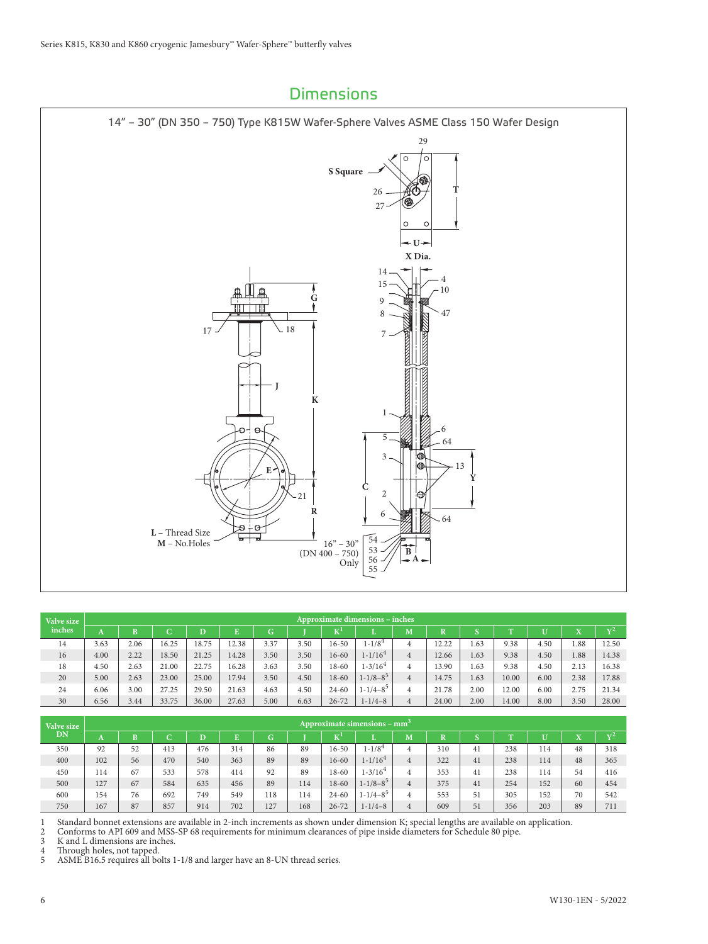

| Valve size |      |      |       |       |       |      |      |                           | Approximate dimensions - inches |   |       |      |             |      |                           |                |
|------------|------|------|-------|-------|-------|------|------|---------------------------|---------------------------------|---|-------|------|-------------|------|---------------------------|----------------|
| inches.    | A    | в    | C     | D     |       | G    |      | $\mathbf{K}^{\mathbf{I}}$ |                                 | M |       |      | <b>FILE</b> | Ū    | $\mathbf{v}$<br>$\Lambda$ | $\mathbf{v}^2$ |
| 14         | 3.63 | 2.06 | 16.25 | 18.75 | 12.38 | 3.37 | 3.50 | $16 - 50$                 | $1 - 1/8^4$                     | 4 | 12.22 | 1.63 | 9.38        | 4.50 | 1.88                      | 12.50          |
| 16         | 4.00 | 2.22 | 18.50 | 21.25 | 14.28 | 3.50 | 3.50 | $16 - 60$                 | $1 - 1/164$                     | 4 | 12.66 | 1.63 | 9.38        | 4.50 | 1.88                      | 14.38          |
| 18         | 4.50 | 2.63 | 21.00 | 22.75 | 16.28 | 3.63 | 3.50 | 18-60                     | $1 - 3/16^4$                    | 4 | 13.90 | 1.63 | 9.38        | 4.50 | 2.13                      | 16.38          |
| 20         | 5.00 | 2.63 | 23.00 | 25.00 | 17.94 | 3.50 | 4.50 | 18-60                     | $1 - 1/8 - 8^5$                 | 4 | 14.75 | 1.63 | 10.00       | 6.00 | 2.38                      | 17.88          |
| 24         | 6.06 | 3.00 | 27.25 | 29.50 | 21.63 | 4.63 | 4.50 | $24 - 60$                 | $1 - 1/4 - 8^5$                 | 4 | 21.78 | 2.00 | 12.00       | 6.00 | 2.75                      | 21.34          |
| 30         | 6.56 | 3.44 | 33.75 | 36.00 | 27.63 | 5.00 | 6.63 | $26 - 72$                 | $1 - 1/4 - 8$                   | 4 | 24.00 | 2.00 | 14.00       | 8.00 | 3.50                      | 28.00          |

| Valve size |     |    |     |                       |     |     |     |                   | Approximate simensions – mm <sup>3</sup> |   |                         |    |            |              |                |            |
|------------|-----|----|-----|-----------------------|-----|-----|-----|-------------------|------------------------------------------|---|-------------------------|----|------------|--------------|----------------|------------|
| DN         | A   |    | C   | $\overline{\text{D}}$ |     | G   |     | $T^{\prime}$<br>N | L.                                       | M | $\overline{\mathbf{R}}$ |    | <b>PEN</b> | $\mathbf{U}$ | $\overline{1}$ | $\sqrt{2}$ |
| 350        | 92  | 52 | 413 | 476                   | 314 | 86  | 89  | $16 - 50$         | $1 - 1/8^4$                              | 4 | 310                     | 41 | 238        | 114          | 48             | 318        |
| 400        | 102 | 56 | 470 | 540                   | 363 | 89  | 89  | $16 - 60$         | $1 - 1/16^4$                             | 4 | 322                     | 41 | 238        | 114          | 48             | 365        |
| 450        | 114 | 67 | 533 | 578                   | 414 | 92  | 89  | $18 - 60$         | $1 - 3/164$                              | 4 | 353                     | 41 | 238        | 114          | 54             | 416        |
| 500        | 127 | 67 | 584 | 635                   | 456 | 89  | 114 | $18 - 60$         | $1 - 1/8 - 8^5$                          | 4 | 375                     | 41 | 254        | 152          | 60             | 454        |
| 600        | 154 | 76 | 692 | 749                   | 549 | 118 | 114 | $24 - 60$         | $1 - 1/4 - 8^5$                          |   | 553                     | 51 | 305        | 152          | 70             | 542        |
| 750        | 167 | 87 | 857 | 914                   | 702 | 127 | 168 | $26 - 72$         | $1 - 1/4 - 8$                            |   | 609                     | 51 | 356        | 203          | 89             | 711        |

1 Standard bonnet extensions are available in 2-inch increments as shown under dimension K; special lengths are available on application.

2 Conforms to API 609 and MSS-SP 68 requirements for minimum clearances of pipe inside diameters for Schedule 80 pipe.

3 K and L dimensions are inches.

4 Through holes, not tapped.

5 ASME B16.5 requires all bolts 1-1/8 and larger have an 8-UN thread series.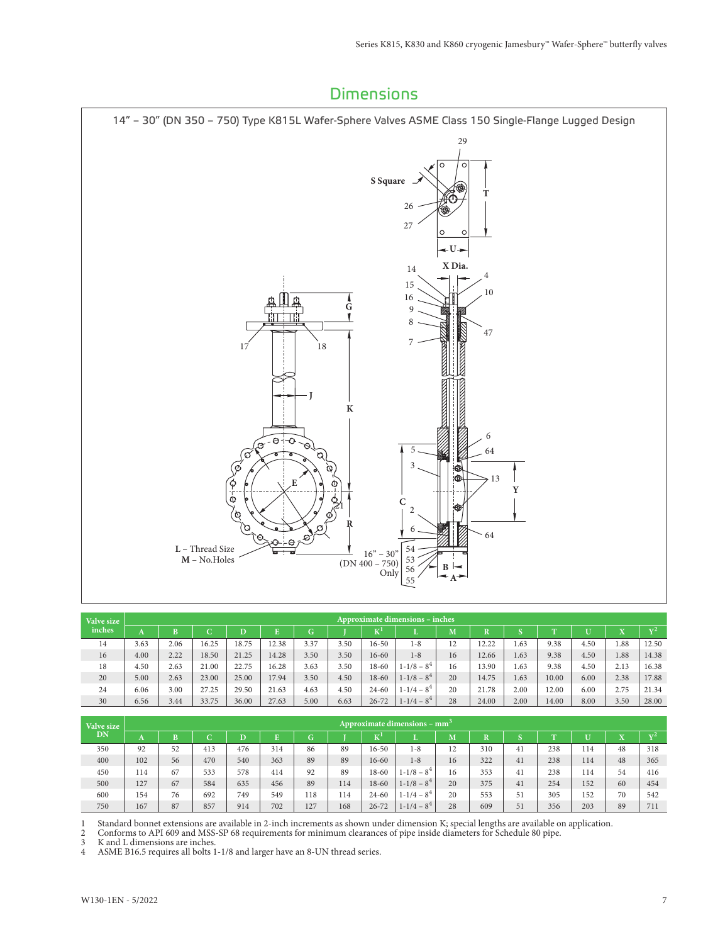

| Valve size |      |      |        |       |       |      |      |           | <b>Approximate dimensions – inches</b> |    |       |      |           |      |          |                |
|------------|------|------|--------|-------|-------|------|------|-----------|----------------------------------------|----|-------|------|-----------|------|----------|----------------|
| inches     | А    | B    | ⌒<br>ັ | D     |       | G    |      | エオナ       |                                        | M  | т     |      | <b>TT</b> |      | 77<br>23 | $\mathbf{v}^2$ |
| 14         | 3.63 | 2.06 | 16.25  | 18.75 | 12.38 | 3.37 | 3.50 | $16 - 50$ | $1 - 8$                                | 12 | 12.22 | 1.63 | 9.38      | 4.50 | 1.88     | 12.50          |
| 16         | 4.00 | 2.22 | 18.50  | 21.25 | 14.28 | 3.50 | 3.50 | $16 - 60$ | $1 - 8$                                | 16 | 12.66 | 1.63 | 9.38      | 4.50 | 1.88     | 14.38          |
| 18         | 4.50 | 2.63 | 21.00  | 22.75 | 16.28 | 3.63 | 3.50 | $18 - 60$ | $1 - 1/8 - 8^4$                        | 16 | 13.90 | 1.63 | 9.38      | 4.50 | 2.13     | 16.38          |
| 20         | 5.00 | 2.63 | 23.00  | 25.00 | 17.94 | 3.50 | 4.50 | $18 - 60$ | $1 - 1/8 - 8^4$                        | 20 | 14.75 | 1.63 | 10.00     | 6.00 | 2.38     | 17.88          |
| 24         | 6.06 | 3.00 | 27.25  | 29.50 | 21.63 | 4.63 | 4.50 | $24 - 60$ | $1 - 1/4 - 8^4$                        | 20 | 21.78 | 2.00 | 12.00     | 6.00 | 2.75     | 21.34          |
| 30         | 6.56 | 3.44 | 33.75  | 36.00 | 27.63 | 5.00 | 6.63 | $26 - 72$ | $1 - 1/4 - 8^4$                        | 28 | 24.00 | 2.00 | 14.00     | 8.00 | 3.50     | 28.00          |

| Valve size |     |    |     |     |     |     |     |           | Approximate dimensions – $mm3$ |    |     |    |             |     |    |              |
|------------|-----|----|-----|-----|-----|-----|-----|-----------|--------------------------------|----|-----|----|-------------|-----|----|--------------|
| DN         | A   | B  | C   | D   | E.  | G.  |     | ᅚᅎᆝ       |                                | M  | D   |    | <b>PERS</b> |     |    | $\mathbf{x}$ |
| 350        | 92  | 52 | 413 | 476 | 314 | 86  | 89  | $16 - 50$ | $1 - 8$                        | 12 | 310 | 41 | 238         | 114 | 48 | 318          |
| 400        | 102 | 56 | 470 | 540 | 363 | 89  | 89  | $16 - 60$ | $1 - 8$                        | 16 | 322 | 41 | 238         | 114 | 48 | 365          |
| 450        | 114 | 67 | 533 | 578 | 414 | 92  | 89  | 18-60     | $1 - 1/8 - 8^4$                | 16 | 353 | 41 | 238         | 114 | 54 | 416          |
| 500        | 127 | 67 | 584 | 635 | 456 | 89  | 114 | $18 - 60$ | $1 - 1/8 - 8^4$                | 20 | 375 | 41 | 254         | 152 | 60 | 454          |
| 600        | 154 | 76 | 692 | 749 | 549 | 118 | 114 | $24 - 60$ | $1 - 1/4 - 8^4$                | 20 | 553 | 51 | 305         | 152 | 70 | 542          |
| 750        | 167 | 87 | 857 | 914 | 702 | 127 | 168 | $26 - 72$ | $1 - 1/4 - 8^4$                | 28 | 609 | 51 | 356         | 203 | 89 | 711          |

1 Standard bonnet extensions are available in 2-inch increments as shown under dimension K; special lengths are available on application.

2 Conforms to API 609 and MSS-SP 68 requirements for minimum clearances of pipe inside diameters for Schedule 80 pipe.

3 K and L dimensions are inches.

4 ASME B16.5 requires all bolts 1-1/8 and larger have an 8-UN thread series.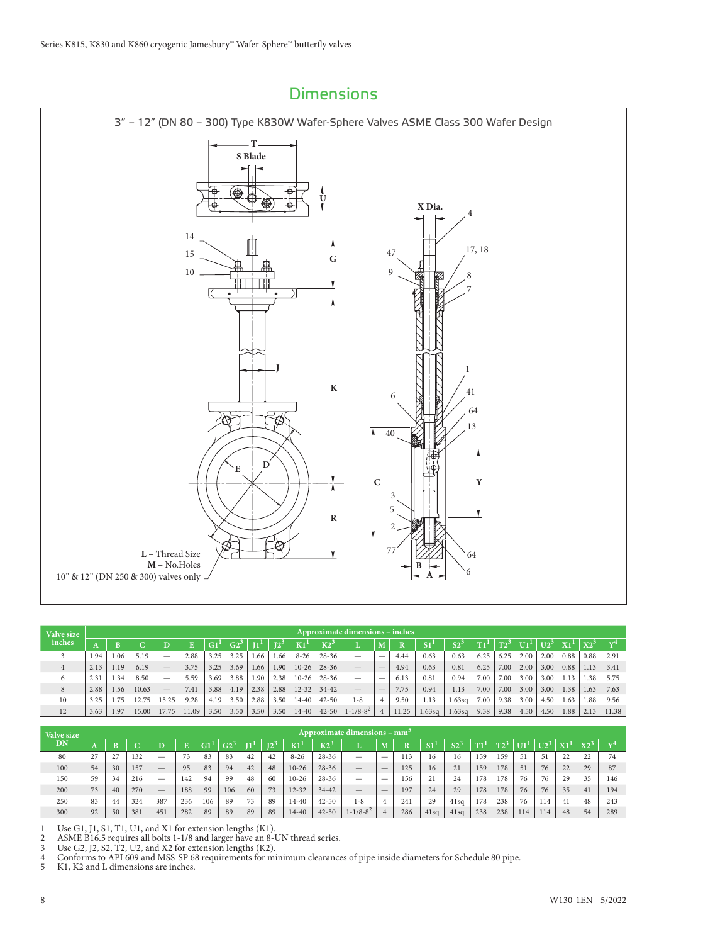

| Valve size |      |      |       |       |       |      |      |      |        |           |           | <b>Approximate dimensions - inches</b> |                          |       |        |        |      |        |      |                 |      |        |                |
|------------|------|------|-------|-------|-------|------|------|------|--------|-----------|-----------|----------------------------------------|--------------------------|-------|--------|--------|------|--------|------|-----------------|------|--------|----------------|
| inches     |      |      |       |       |       |      |      |      | $12^3$ | K1        | K2        |                                        |                          | R     | S1     | $S2-$  |      | $T2^3$ |      | $U2^3$   $X1^1$ |      | $X2^3$ | $\overline{x}$ |
|            | 1.94 | 1.06 | 5.19  | -     | 2.88  | 3.25 | 3.25 | 1.66 | 1.66   | $8 - 26$  | $28 - 36$ | -                                      | $\overline{\phantom{a}}$ | 4.44  | 0.63   | 0.63   | 6.25 | 6.25   | 2.00 | 2.00            | 0.88 | 0.88   | 2.91           |
| 4          | 2.13 | 1.19 | 6.19  |       | 3.75  | 3.25 | 3.69 | 1.66 | 1.90   | $10-26$   | $28 - 36$ |                                        | $\overline{\phantom{a}}$ | 4.94  | 0.63   | 0.81   | 6.25 | 7.00   | 2.00 | 3.00            | 0.88 | 1.13   | 3.41           |
| 6          | 2.31 | 1.34 | 8.50  | -     | 5.59  | 3.69 | 3.88 | 1.90 | 2.38   | $10 - 26$ | $28 - 36$ |                                        | $\overline{\phantom{a}}$ | 6.13  | 0.81   | 0.94   | 7.00 | 7.00   | 3.00 | 3.00            |      | 1.38   | 5.75           |
| 8          | 2.88 | 1.56 | 10.63 | -     | 7.41  | 3.88 | 4.19 | 2.38 | 2.88   | $12 - 32$ | $34 - 42$ |                                        | $\sim$                   | 7.75  | 0.94   | 1.13   | 7.00 | 7.00   | 3.00 | 3.00            | 1.38 | 1.63   | 7.63           |
| 10         | 3.25 | .75  | 12.75 | 15.25 | 9.28  | 4.19 | 3.50 | 2.88 | 3.50   | $14 - 40$ | $42 - 50$ | $1-8$                                  | 4                        | 9.50  | 1.13   | 1.63sq | 7.00 | 9.38   | 3.00 | 4.50            | 1.63 | 1.88   | 9.56           |
| 12         | 3.63 | 1.97 | 15.00 | 17.75 | 11.09 | 3.50 | 3.50 | 3.50 | 3.50   | $14-40$   | $42 - 50$ | $1 - 1/8 - 8^2$                        | $\overline{4}$           | 11.25 | 1.63sq | 1.63sq | 9.38 | 9.38   | 4.50 | 4.50            | 1.88 | 2.13   | 11.38          |

| Valve size |    |    |     |                          |     |     |        |    |    |           |                | Approximate dimensions – mm <sup>3</sup> |                          |     |      |              |               |     |                 |        |    |                     |                 |
|------------|----|----|-----|--------------------------|-----|-----|--------|----|----|-----------|----------------|------------------------------------------|--------------------------|-----|------|--------------|---------------|-----|-----------------|--------|----|---------------------|-----------------|
| <b>DN</b>  |    | B  |     |                          |     |     | $G2^3$ |    |    | K1        | K <sub>2</sub> |                                          |                          |     | 01   | $\mathbf{c}$ | <b>PERMIT</b> | mo. | $\overline{11}$ | $U2^3$ | w. | $\mathbf{v}$        | $\mathbf{x}$ r4 |
| 80         | 27 | 27 | 132 | -                        | 73  | 83  | 83     | 42 | 42 | $8 - 26$  | $28 - 36$      | $\overline{\phantom{a}}$                 | $\overline{\phantom{a}}$ | 113 | 16   | 16           | 159           | 159 | 51              | 51     | 22 | $\mathcal{L}$<br>∠∠ | 74              |
| 100        | 54 | 30 | 157 | $\overline{\phantom{a}}$ | 95  | 83  | 94     | 42 | 48 | $10-26$   | $28 - 36$      | $\overline{\phantom{a}}$                 | $-$                      | 125 | 16   | 21           | 159           | 178 | 51              | 76     | 22 | 29                  | 87              |
| 150        | 59 | 34 | 216 | $\overline{\phantom{a}}$ | 142 | 94  | 99     | 48 | 60 | $10 - 26$ | $28 - 36$      |                                          | $\overline{\phantom{a}}$ | 156 | 21   | 24           | 178           | 178 | 76              | 76     | 29 | 35                  | 146             |
| 200        | 73 | 40 | 270 | $\qquad \qquad$          | 188 | 99  | 106    | 60 | 73 | $12 - 32$ | $34 - 42$      | $\hspace{0.1mm}-\hspace{0.1mm}$          | $\sim$                   | 197 | 24   | 29           | 178           | 178 | 76              | 76     | 35 | 41                  | 194             |
| 250        | 83 | 44 | 324 | 387                      | 236 | 106 | 89     | 73 | 89 | $14 - 40$ | $42 - 50$      | $1 - 8$                                  | $\overline{4}$           | 241 | 29   | 41sq         | 178           | 238 | 76              | 114    | 41 | 48                  | 243             |
| 300        | 92 | 50 | 381 | 451                      | 282 | 89  | 89     | 89 | 89 | $14 - 40$ | $42 - 50$      | $1 - 1/8 - 8^2$                          | $4^{\circ}$              | 286 | 41sq | 41sq         | 238           | 238 | 114             | 114    | 48 | 54                  | 289             |

1 Use G1, J1, S1, T1, U1, and X1 for extension lengths (K1).

2 ASME B16.5 requires all bolts 1-1/8 and larger have an 8-UN thread series.

3 Use G2, J2, S2, T2, U2, and X2 for extension lengths (K2).

4 Conforms to API 609 and MSS-SP 68 requirements for minimum clearances of pipe inside diameters for Schedule 80 pipe.

5 K1, K2 and L dimensions are inches.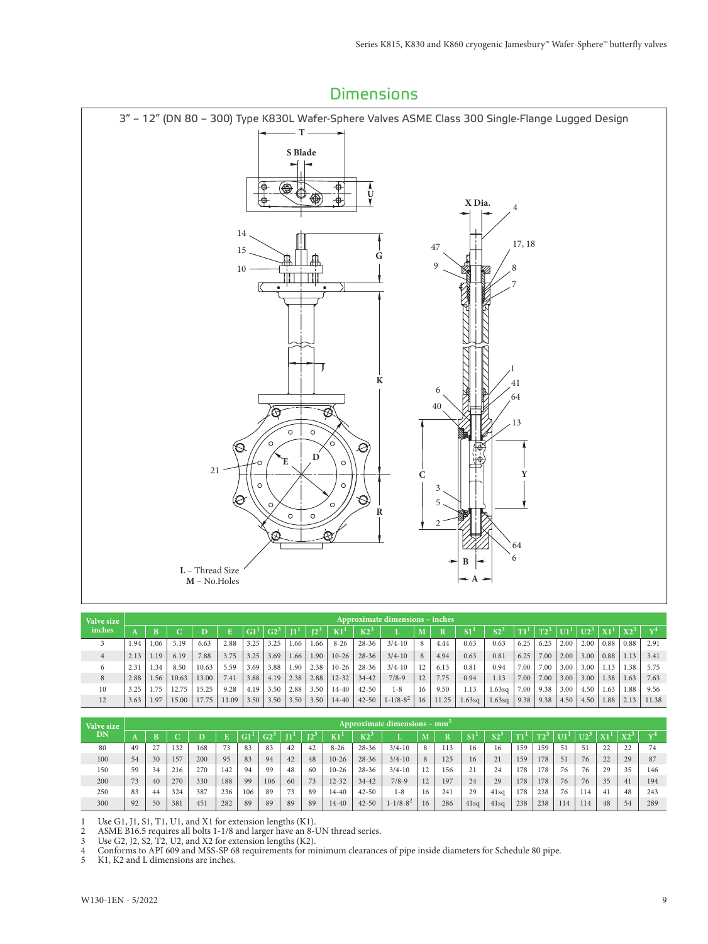

| Valve size |      |                 |       |       |       |      |                 |                 |        |           |           | Approximate dimensions - inches |    |       |               |                 |      |        |                    |      |      |        |                |
|------------|------|-----------------|-------|-------|-------|------|-----------------|-----------------|--------|-----------|-----------|---------------------------------|----|-------|---------------|-----------------|------|--------|--------------------|------|------|--------|----------------|
| inches     |      |                 |       |       |       |      | G2 <sup>3</sup> | 11 <sup>1</sup> | $12^3$ | K1        | K2        |                                 |    | D     | $\mathbf{S1}$ | $\mathrm{S2}^3$ |      | $T2^3$ | $ U1^1 U2^3 X1^1 $ |      |      | $X2^3$ | $\mathbf{v}^4$ |
|            | 1.94 | .06             | 5.19  | 6.63  | 2.88  | 3.25 | 3.25            | 1.66            | 1.66   | $8 - 26$  | $28 - 36$ | $3/4 - 10$                      | 8  | 4.44  | 0.63          | 0.63            | 6.25 | 6.25   | 2.00               | 2.00 | 0.88 | 0.88   | 2.91           |
|            | 2.13 | 1.19            | 6.19  | 7.88  | 3.75  | 3.25 | 3.69            | 1.66            | 1.90   | $10-26$   | $28 - 36$ | $3/4 - 10$                      | 8  | 4.94  | 0.63          | 0.81            | 6.25 | 7.00   | 2.00               | 3.00 | 0.88 | 1.13   | 3.41           |
| 6          | 2.31 | 1.34            | 8.50  | 10.63 | 5.59  | 3.69 | 3.88            | 1.90            | 2.38   | $10 - 26$ | $28 - 36$ | $3/4 - 10$                      |    | 6.13  | 0.81          | 0.94            | 7.00 | 7.00   | 3.00               | 3.00 |      | 1.38   | 5.75           |
| 8          | 2.88 | L <sub>56</sub> | 10.63 | 13.00 | 7.41  | 3.88 | 4.19            | 2.38            | 2.88   | $12 - 32$ | $34 - 42$ | $7/8-9$                         | 12 | 7.75  | 0.94          | 1.13            | 7.00 | 7.00   | 3.00               | 3.00 | 1.38 | 1.63   | 7.63           |
| 10         | 3.25 | 1.75            | 12.75 | 15.25 | 9.28  | 4.19 | 3.50            | 2.88            | 3.50   | $14 - 40$ | $42 - 50$ | $1 - 8$                         | 16 | 9.50  | 1.13          | 1.63sq          | 7.00 | 9.38   | 3.00               | 4.50 | 1.63 | 1.88   | 9.56           |
| 12         | 3.63 | 1.97            | 15.00 | 17.75 | 11.09 | 3.50 | 3.50            | 3.50            | 3.50   | $14 - 40$ | $42 - 50$ | $1 - 1/8 - 8^2$                 | 16 | 11.25 | 1.63sq        | 1.63sq          | 9.38 | 9.38   | 4.50               | 4.50 | 1.88 | 2.13   | 11.38          |

| Valve size |    |    |     |     |     |     |     |    |     |           |           | Approximate dimensions – mm <sup>-</sup> |    |     |                 |                |     |     |     |     |    |                   |              |
|------------|----|----|-----|-----|-----|-----|-----|----|-----|-----------|-----------|------------------------------------------|----|-----|-----------------|----------------|-----|-----|-----|-----|----|-------------------|--------------|
| DN         |    | B  |     |     |     |     | G2  |    | ī۵. | K1        | $K2^2$    |                                          |    | n   |                 | C <sub>2</sub> | ma. |     |     |     | X1 | $X2$ <sup>-</sup> | $\mathbf{r}$ |
| 80         | 49 |    | 132 | 168 | 73  | 83  | 83  | 42 | 42  | $8 - 26$  | $28 - 36$ | $3/4 - 10$                               | 8  | 113 | 16              | 16             | 159 | 159 | -51 | 51  | 22 | 22                | 74           |
| 100        | 54 | 30 | 157 | 200 | 95  | 83  | 94  | 42 | 48  | $10 - 26$ | $28 - 36$ | $3/4 - 10$                               | 8  | 125 | 16              | 21             | 159 | 178 | 51  | 76  | 22 | 29                | 87           |
| 150        | 59 | 34 | 216 | 270 | 142 | 94  | 99  | 48 | -60 | $10-26$   | $28 - 36$ | $3/4 - 10$                               | 12 | 156 | $^{\sim}$<br>∠⊥ | 24             | 178 | 178 | 76  | 76  | 29 | 35                | 146          |
| 200        | 73 | 40 | 270 | 330 | 188 | 99  | 106 | 60 | 73  | $12 - 32$ | $34 - 42$ | $7/8-9$                                  | 12 | 197 | 24              | 29             | 178 | 178 | 76  | 76  | 35 | $-41$             | 194          |
| 250        | 83 | 44 | 324 | 387 | 236 | 106 | 89  | 73 | 89  | $14 - 40$ | $42 - 50$ | $1 - 8$                                  | 16 | 241 | 29              | 41sq           | 178 | 238 | 76  | 114 | 41 | 48                | 243          |
| 300        | 92 | 50 | 381 | 451 | 282 | 89  | 89  | 89 | 89  | $14 - 40$ | $42 - 50$ | $1 - 1/8 - 8^2$                          | 16 | 286 | 41sq            | 41sq           | 238 | 238 | 114 | 114 | 48 | 54                | 289          |

1 Use G1, J1, S1, T1, U1, and X1 for extension lengths (K1).<br>2 ASME B16.5 requires all bolts 1-1/8 and larger have an 8-1

2 ASME B16.5 requires all bolts 1-1/8 and larger have an 8-UN thread series.

3 Use G2, J2, S2, T2, U2, and X2 for extension lengths (K2).

4 Conforms to API 609 and MSS-SP 68 requirements for minimum clearances of pipe inside diameters for Schedule 80 pipe.

5 K1, K2 and L dimensions are inches.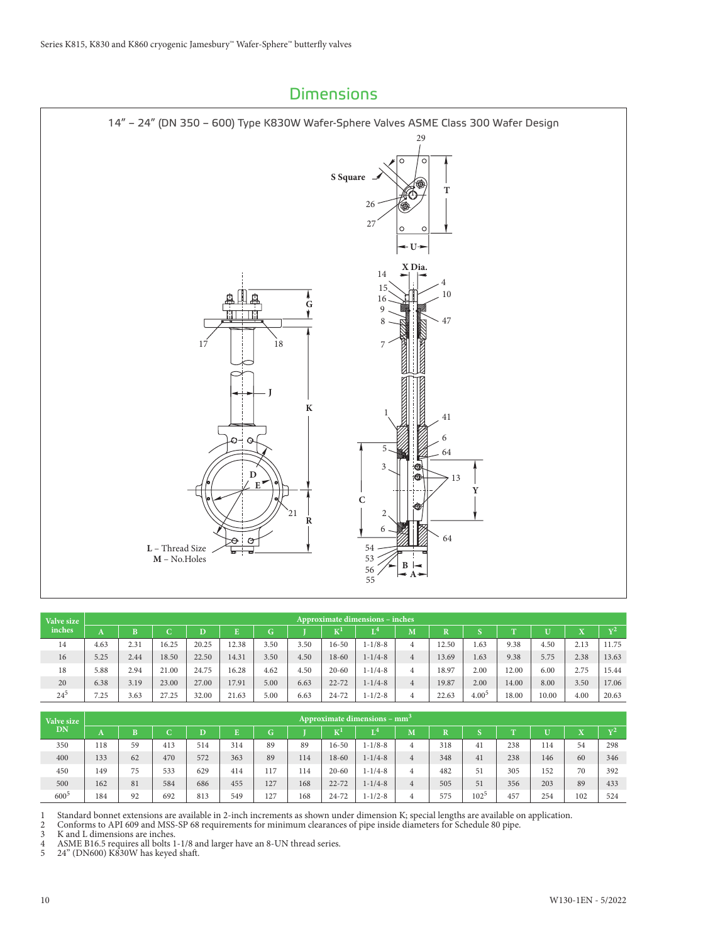

| Valve size |      |      |       |       |       |      |      |           | Approximate dimensions – inches |                |                         |            |              |       |           |                |
|------------|------|------|-------|-------|-------|------|------|-----------|---------------------------------|----------------|-------------------------|------------|--------------|-------|-----------|----------------|
| inches     | A    |      | C     | D     |       | G    |      | v!        | т4                              | M              | $\overline{\mathbf{R}}$ |            | $\mathbf{T}$ |       | $\Lambda$ | $\mathbf{v}^2$ |
| 14         | 4.63 | 2.31 | 16.25 | 20.25 | 12.38 | 3.50 | 3.50 | $16 - 50$ | $1 - 1/8 - 8$                   | 4              | 12.50                   | 1.63       | 9.38         | 4.50  | 2.13      | 11.75          |
| 16         | 5.25 | 2.44 | 18.50 | 22.50 | 14.31 | 3.50 | 4.50 | $18 - 60$ | $1 - 1/4 - 8$                   | $\overline{4}$ | 13.69                   | 1.63       | 9.38         | 5.75  | 2.38      | 13.63          |
| 18         | 5.88 | 2.94 | 21.00 | 24.75 | 16.28 | 4.62 | 4.50 | $20 - 60$ | $1 - 1/4 - 8$                   | $\overline{4}$ | 18.97                   | 2.00       | 12.00        | 6.00  | 2.75      | 15.44          |
| 20         | 6.38 | 3.19 | 23.00 | 27.00 | 17.91 | 5.00 | 6.63 | $22 - 72$ | $1 - 1/4 - 8$                   | $\overline{4}$ | 19.87                   | 2.00       | 14.00        | 8.00  | 3.50      | 17.06          |
| $24^{5}$   | 7.25 | 3.63 | 27.25 | 32.00 | 21.63 | 5.00 | 6.63 | $24 - 72$ | $1 - 1/2 - 8$                   | 4              | 22.63                   | $4.00^{5}$ | 18.00        | 10.00 | 4.00      | 20.63          |

| Valve size |     |    |     |     |     |     |     |           | Approximate dimensions – mm <sup>3</sup> |    |     |                  |             |     |     |                |
|------------|-----|----|-----|-----|-----|-----|-----|-----------|------------------------------------------|----|-----|------------------|-------------|-----|-----|----------------|
| <b>DN</b>  | A   | в  | C   | D   |     | G   |     | ικ"       | $\mathbf{L}^4$                           | M. |     |                  | <b>PERS</b> |     | ÷   | $\mathbf{v}^2$ |
| 350        | 118 | 59 | 413 | 514 | 314 | 89  | 89  | $16 - 50$ | $1 - 1/8 - 8$                            | 4  | 318 | 41               | 238         | 114 | 54  | 298            |
| 400        | 133 | 62 | 470 | 572 | 363 | 89  | 114 | $18 - 60$ | $1 - 1/4 - 8$                            | 4  | 348 | 41               | 238         | 146 | 60  | 346            |
| 450        | 149 | 75 | 533 | 629 | 414 | 117 | 114 | $20 - 60$ | $1 - 1/4 - 8$                            | 4  | 482 | 51               | 305         | 152 | 70  | 392            |
| 500        | 162 | 81 | 584 | 686 | 455 | 127 | 168 | $22 - 72$ | $1 - 1/4 - 8$                            | 4  | 505 | 51               | 356         | 203 | 89  | 433            |
| $600^5$    | 184 | 92 | 692 | 813 | 549 | 127 | 168 | $24 - 72$ | $1 - 1/2 - 8$                            | 4  | 575 | 102 <sup>5</sup> | 457         | 254 | 102 | 524            |

1 Standard bonnet extensions are available in 2-inch increments as shown under dimension K; special lengths are available on application.

2 Conforms to API 609 and MSS-SP 68 requirements for minimum clearances of pipe inside diameters for Schedule 80 pipe.

3 K and L dimensions are inches.<br>4 ASME B16.5 requires all bolts 1 4 ASME B16.5 requires all bolts 1-1/8 and larger have an 8-UN thread series.

5 24" (DN600) K830W has keyed shaft.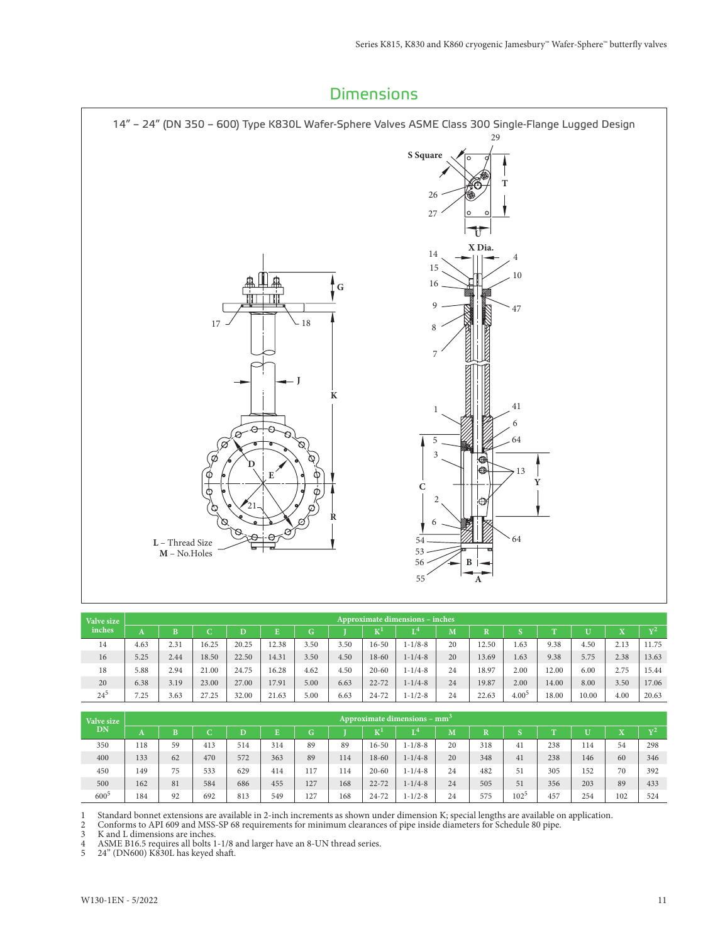

| Valve size |      |      |        |       |       |      |      |           | Approximate dimensions – inches |    |             |            |       |       |      |            |
|------------|------|------|--------|-------|-------|------|------|-----------|---------------------------------|----|-------------|------------|-------|-------|------|------------|
| inches     | A    | в    | ⌒<br>ັ |       |       | G    |      | K"        |                                 | M  | $\mathbf R$ |            | m     |       |      | $\sqrt{2}$ |
| 14         | 4.63 | 2.31 | 16.25  | 20.25 | 12.38 | 3.50 | 3.50 | $16 - 50$ | $1 - 1/8 - 8$                   | 20 | 12.50       | 1.63       | 9.38  | 4.50  | 2.13 | 11.75      |
| 16         | 5.25 | 2.44 | 18.50  | 22.50 | 14.31 | 3.50 | 4.50 | $18 - 60$ | $1 - 1/4 - 8$                   | 20 | 13.69       | 1.63       | 9.38  | 5.75  | 2.38 | 13.63      |
| 18         | 5.88 | 2.94 | 21.00  | 24.75 | 16.28 | 4.62 | 4.50 | $20 - 60$ | $1 - 1/4 - 8$                   | 24 | 18.97       | 2.00       | 12.00 | 6.00  | 2.75 | 15.44      |
| 20         | 6.38 | 3.19 | 23.00  | 27.00 | 17.91 | 5.00 | 6.63 | $22 - 72$ | $1 - 1/4 - 8$                   | 24 | 19.87       | 2.00       | 14.00 | 8.00  | 3.50 | 17.06      |
| $24^{5}$   | 7.25 | 3.63 | 27.25  | 32.00 | 21.63 | 5.00 | 6.63 | $24 - 72$ | $1 - 1/2 - 8$                   | 24 | 22.63       | $4.00^{5}$ | 18.00 | 10.00 | 4.00 | 20.63      |

| Valve size |     |    |     |     |     |     |     |           | Approximate dimensions – mm <sup>3</sup> |    |     |         |            |     |     |                |
|------------|-----|----|-----|-----|-----|-----|-----|-----------|------------------------------------------|----|-----|---------|------------|-----|-----|----------------|
| DN         | A   | B  | ⌒   | D   |     | G.  |     | TZ.       | л 4                                      | M  |     |         | <b>PEN</b> |     |     | $\mathbf{v}^2$ |
| 350        | 118 | 59 | 413 | 514 | 314 | 89  | 89  | $16 - 50$ | $1 - 1/8 - 8$                            | 20 | 318 | 41      | 238        | 114 | 54  | 298            |
| 400        | 133 | 62 | 470 | 572 | 363 | 89  | 114 | $18 - 60$ | $1 - 1/4 - 8$                            | 20 | 348 | 41      | 238        | 146 | 60  | 346            |
| 450        | 149 | 75 | 533 | 629 | 414 | 117 | 114 | $20 - 60$ | $1 - 1/4 - 8$                            | 24 | 482 | 51      | 305        | 152 | 70  | 392            |
| 500        | 162 | 81 | 584 | 686 | 455 | 127 | 168 | $22 - 72$ | $1 - 1/4 - 8$                            | 24 | 505 | 51      | 356        | 203 | 89  | 433            |
| $600^5$    | 184 | 92 | 692 | 813 | 549 | 127 | 168 | $24 - 72$ | $1 - 1/2 - 8$                            | 24 | 575 | $102^5$ | 457        | 254 | 102 | 524            |

1 Standard bonnet extensions are available in 2-inch increments as shown under dimension K; special lengths are available on application.

2 Conforms to API 609 and MSS-SP 68 requirements for minimum clearances of pipe inside diameters for Schedule 80 pipe.

3 K and L dimensions are inches.<br>4 ASME B16.5 requires all bolts 1

4 ASME B16.5 requires all bolts 1-1/8 and larger have an 8-UN thread series.

5 24" (DN600) K830L has keyed shaft.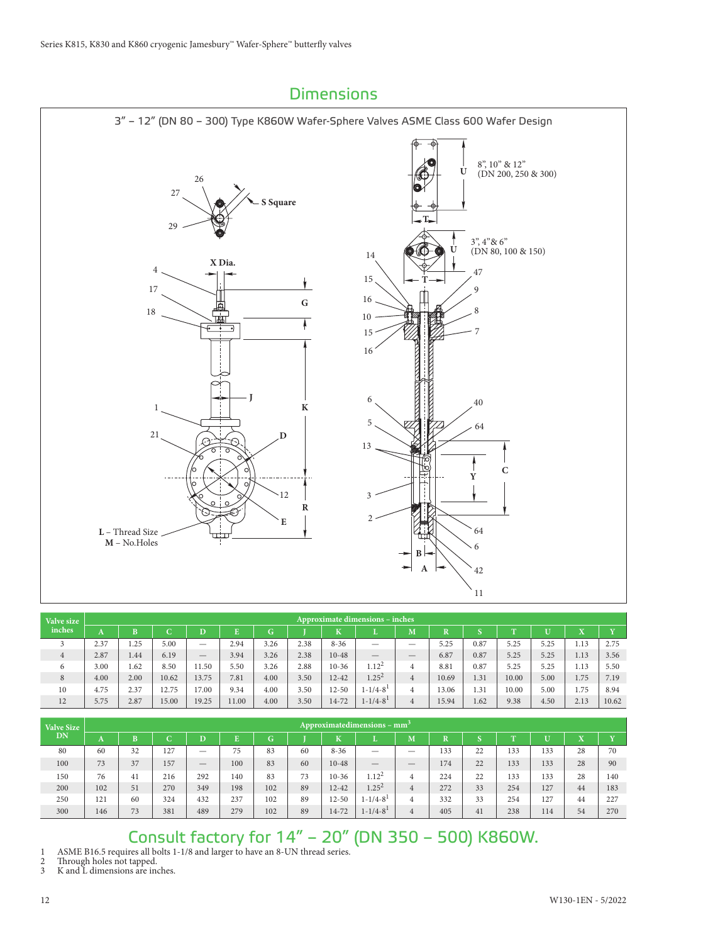

| Valve size     |      |      |                 |                          |       |      |      |           | <b>Approximate dimensions - inches</b> |                |                       |      |           |      |      |       |
|----------------|------|------|-----------------|--------------------------|-------|------|------|-----------|----------------------------------------|----------------|-----------------------|------|-----------|------|------|-------|
| inches         | A    | B    | $\sqrt{2}$<br>ັ | D                        |       | G    |      | T         | ш                                      | M              | $\overline{\text{R}}$ |      | <b>TT</b> | U    | ۳z   |       |
| 3              | 2.37 | 1.25 | 5.00            | $\overline{\phantom{m}}$ | 2.94  | 3.26 | 2.38 | $8 - 36$  | —                                      | _              | 5.25                  | 0.87 | 5.25      | 5.25 | 1.13 | 2.75  |
| $\overline{4}$ | 2.87 | 1.44 | 6.19            | $\qquad \qquad$          | 3.94  | 3.26 | 2.38 | $10 - 48$ |                                        | _              | 6.87                  | 0.87 | 5.25      | 5.25 | 1.13 | 3.56  |
| 6              | 3.00 | 1.62 | 8.50            | 11.50                    | 5.50  | 3.26 | 2.88 | $10 - 36$ | $1.12^{2}$                             | 4              | 8.81                  | 0.87 | 5.25      | 5.25 | 1.13 | 5.50  |
| 8              | 4.00 | 2.00 | 10.62           | 13.75                    | 7.81  | 4.00 | 3.50 | $12 - 42$ | $1.25^{2}$                             | $\overline{4}$ | 10.69                 | 1.31 | 10.00     | 5.00 | 1.75 | 7.19  |
| 10             | 4.75 | 2.37 | 12.75           | 17.00                    | 9.34  | 4.00 | 3.50 | $12 - 50$ | $1 - 1/4 - 8^1$                        | 4              | 13.06                 | 1.31 | 10.00     | 5.00 | 1.75 | 8.94  |
| 12             | 5.75 | 2.87 | 15.00           | 19.25                    | 11.00 | 4.00 | 3.50 | 14-72     | $1 - 1/4 - 8^{1}$                      | $\overline{4}$ | 15.94                 | 1.62 | 9.38      | 4.50 | 2.13 | 10.62 |

| <b>Valve Size</b> |     |    |     |     |                    |     |    |           | Approximatedimensions – $mm3$ |                          |                       |    |            |     |           |                       |
|-------------------|-----|----|-----|-----|--------------------|-----|----|-----------|-------------------------------|--------------------------|-----------------------|----|------------|-----|-----------|-----------------------|
| DN                | A   | B  | C   | D   | $\mathbf{E}$<br>г. | G.  |    | Ŧ.<br>N   |                               | M                        | $\overline{\text{R}}$ |    | <b>PT1</b> | тт  | ۳z<br>23. | <b>x</b> <sub>r</sub> |
| 80                | 60  | 32 | 127 |     | 75                 | 83  | 60 | $8 - 36$  | $\overline{\phantom{0}}$      | $\overline{\phantom{0}}$ | 133                   | 22 | 133        | 133 | 28        | 70                    |
| 100               | 73  | 37 | 157 |     | 100                | 83  | 60 | $10 - 48$ |                               |                          | 174                   | 22 | 133        | 133 | 28        | 90                    |
| 150               | 76  | 41 | 216 | 292 | 140                | 83  | 73 | $10-36$   | $1.12^{2}$                    | 4                        | 224                   | 22 | 133        | 133 | 28        | 140                   |
| 200               | 102 | 51 | 270 | 349 | 198                | 102 | 89 | $12 - 42$ | $1.25^2$                      | 4                        | 272                   | 33 | 254        | 127 | 44        | 183                   |
| 250               | 121 | 60 | 324 | 432 | 237                | 102 | 89 | $12 - 50$ | $1 - 1/4 - 8^1$               | 4                        | 332                   | 33 | 254        | 127 | 44        | 227                   |
| 300               | 146 | 73 | 381 | 489 | 279                | 102 | 89 | $14 - 72$ | $1 - 1/4 - 8^1$               | 4                        | 405                   | 41 | 238        | 114 | 54        | 270                   |

# Consult factory for 14" – 20" (DN 350 – 500) K860W.

1 ASME B16.5 requires all bolts 1-1/8 and larger to have an 8-UN thread series.

2 Through holes not tapped.<br>3 K and L dimensions are ine

K and L dimensions are inches.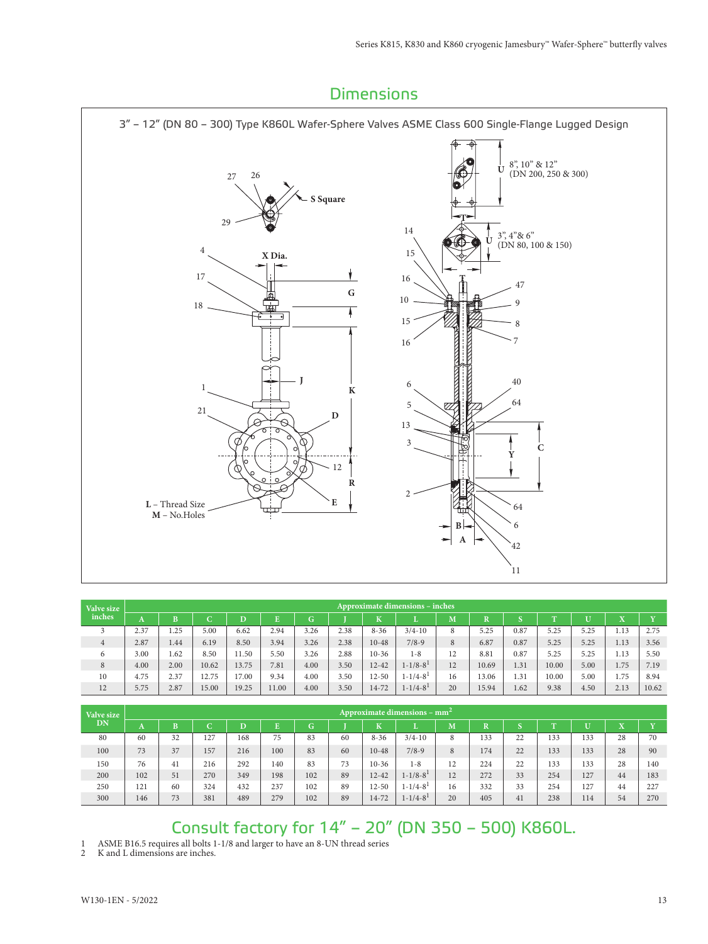

| Valve size |                |      |          |       |       |      |      |           | <b>Approximate dimensions – inches</b> |    |             |      |           |      |      |       |
|------------|----------------|------|----------|-------|-------|------|------|-----------|----------------------------------------|----|-------------|------|-----------|------|------|-------|
| inches     | $\overline{ }$ | B    | ⌒<br>. . |       |       | G    |      | к         |                                        | M  | $\mathbf R$ |      | <b>TT</b> |      | v    | T     |
|            | 2.37           | .25  | 5.00     | 6.62  | 2.94  | 3.26 | 2.38 | $8 - 36$  | $3/4 - 10$                             | 8  | 5.25        | 0.87 | 5.25      | 5.25 | 1.13 | 2.75  |
| 4          | 2.87           | 1.44 | 6.19     | 8.50  | 3.94  | 3.26 | 2.38 | $10 - 48$ | $7/8-9$                                | 8  | 6.87        | 0.87 | 5.25      | 5.25 | 1.13 | 3.56  |
| 6          | 3.00           | 1.62 | 8.50     | 11.50 | 5.50  | 3.26 | 2.88 | $10-36$   | $1 - 8$                                | 12 | 8.81        | 0.87 | 5.25      | 5.25 | 1.13 | 5.50  |
| 8          | 4.00           | 2.00 | 10.62    | 13.75 | 7.81  | 4.00 | 3.50 | $12 - 42$ | $1 - 1/8 - 8^{1}$                      | 12 | 10.69       | 1.31 | 10.00     | 5.00 | 1.75 | 7.19  |
| 10         | 4.75           | 2.37 | 12.75    | 17.00 | 9.34  | 4.00 | 3.50 | $12 - 50$ | $1 - 1/4 - 8$ <sup>1</sup>             | 16 | 13.06       | 1.31 | 10.00     | 5.00 | 1.75 | 8.94  |
| 12         | 5.75           | 2.87 | 15.00    | 19.25 | 11.00 | 4.00 | 3.50 | 14-72     | $1 - 1/4 - 8$ <sup>1</sup>             | 20 | 15.94       | 1.62 | 9.38      | 4.50 | 2.13 | 10.62 |

| Valve size | Approximate dimensions – $mm2$ |    |     |     |     |     |    |           |                   |    |                         |    |             |     |         |     |
|------------|--------------------------------|----|-----|-----|-----|-----|----|-----------|-------------------|----|-------------------------|----|-------------|-----|---------|-----|
| <b>DN</b>  | A                              | B  | С   | D   | Ē   | G.  |    | K         |                   | M  | $\overline{\mathbf{R}}$ | n  | <b>PERS</b> |     | ۳z<br>л | T   |
| 80         | 60                             | 32 | 127 | 168 | 75  | 83  | 60 | $8 - 36$  | $3/4 - 10$        | 8  | 133                     | 22 | 133         | 133 | 28      | 70  |
| 100        | 73                             | 37 | 157 | 216 | 100 | 83  | 60 | $10 - 48$ | $7/8-9$           | 8  | 174                     | 22 | 133         | 133 | 28      | 90  |
| 150        | 76                             | 41 | 216 | 292 | 140 | 83  | 73 | $10 - 36$ | $1 - 8$           | 12 | 224                     | 22 | 133         | 133 | 28      | 140 |
| 200        | 102                            | 51 | 270 | 349 | 198 | 102 | 89 | $12 - 42$ | $1 - 1/8 - 8^1$   | 12 | 272                     | 33 | 254         | 127 | 44      | 183 |
| 250        | 121                            | 60 | 324 | 432 | 237 | 102 | 89 | $12 - 50$ | $1 - 1/4 - 8^{1}$ | 16 | 332                     | 33 | 254         | 127 | 44      | 227 |
| 300        | 146                            | 73 | 381 | 489 | 279 | 102 | 89 | 14-72     | $1 - 1/4 - 81$    | 20 | 405                     | 41 | 238         | 114 | 54      | 270 |

# Consult factory for 14" – 20" (DN 350 – 500) K860L.

1 ASME B16.5 requires all bolts 1-1/8 and larger to have an 8-UN thread series

2 K and L dimensions are inches.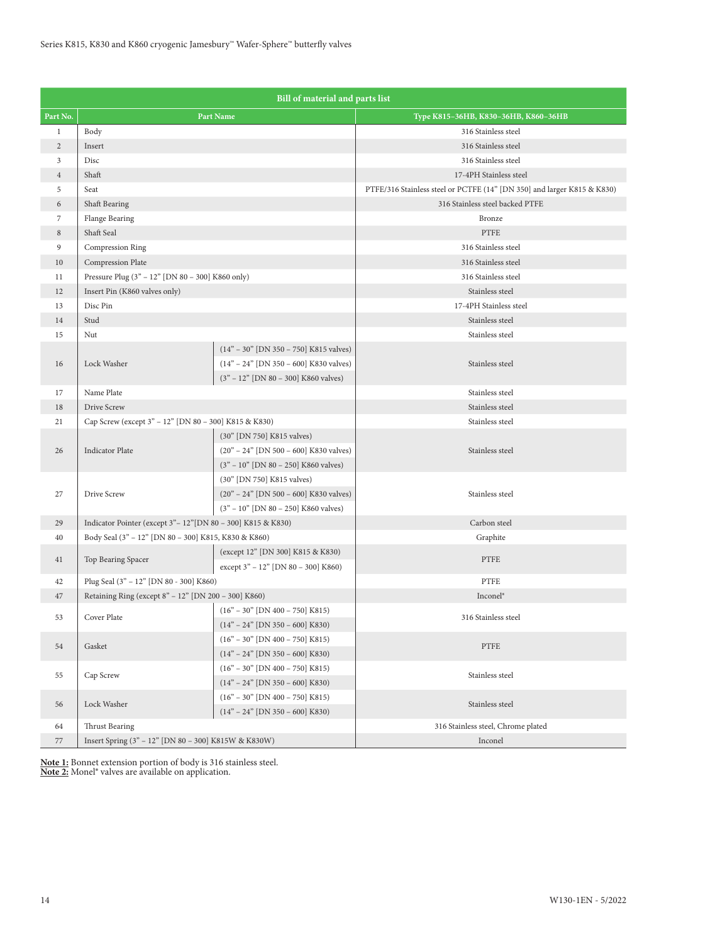|                | Bill of material and parts list                             |                                          |                                                                         |  |  |  |  |  |  |  |  |
|----------------|-------------------------------------------------------------|------------------------------------------|-------------------------------------------------------------------------|--|--|--|--|--|--|--|--|
| Part No.       |                                                             | Part Name                                | Туре К815-36НВ, К830-36НВ, К860-36НВ                                    |  |  |  |  |  |  |  |  |
| $\mathbf{1}$   | Body                                                        |                                          | 316 Stainless steel                                                     |  |  |  |  |  |  |  |  |
| $\overline{2}$ | Insert                                                      |                                          | 316 Stainless steel                                                     |  |  |  |  |  |  |  |  |
| 3              | Disc                                                        |                                          | 316 Stainless steel                                                     |  |  |  |  |  |  |  |  |
| $\overline{4}$ | Shaft                                                       |                                          | 17-4PH Stainless steel                                                  |  |  |  |  |  |  |  |  |
| 5              | Seat                                                        |                                          | PTFE/316 Stainless steel or PCTFE (14" [DN 350] and larger K815 & K830) |  |  |  |  |  |  |  |  |
| 6              | Shaft Bearing                                               |                                          | 316 Stainless steel backed PTFE                                         |  |  |  |  |  |  |  |  |
| $\overline{7}$ | Flange Bearing                                              |                                          | Bronze                                                                  |  |  |  |  |  |  |  |  |
| 8              | Shaft Seal                                                  |                                          | <b>PTFE</b>                                                             |  |  |  |  |  |  |  |  |
| 9              | Compression Ring                                            |                                          | 316 Stainless steel                                                     |  |  |  |  |  |  |  |  |
| 10             | Compression Plate                                           |                                          | 316 Stainless steel                                                     |  |  |  |  |  |  |  |  |
| 11             | Pressure Plug (3" - 12" [DN 80 - 300] K860 only)            |                                          | 316 Stainless steel                                                     |  |  |  |  |  |  |  |  |
| 12             | Insert Pin (K860 valves only)                               |                                          | Stainless steel                                                         |  |  |  |  |  |  |  |  |
| 13             | Disc Pin                                                    |                                          | 17-4PH Stainless steel                                                  |  |  |  |  |  |  |  |  |
| 14             | Stud                                                        |                                          | Stainless steel                                                         |  |  |  |  |  |  |  |  |
| 15             | Nut                                                         |                                          | Stainless steel                                                         |  |  |  |  |  |  |  |  |
|                |                                                             | $(14" - 30"$ [DN 350 - 750] K815 valves) |                                                                         |  |  |  |  |  |  |  |  |
| 16             | Lock Washer                                                 | $(14n - 24n$ [DN 350 - 600] K830 valves) | Stainless steel                                                         |  |  |  |  |  |  |  |  |
|                |                                                             | $(3" - 12"$ [DN 80 - 300] K860 valves)   |                                                                         |  |  |  |  |  |  |  |  |
| 17             | Name Plate                                                  |                                          | Stainless steel                                                         |  |  |  |  |  |  |  |  |
| 18             | Drive Screw                                                 |                                          | Stainless steel                                                         |  |  |  |  |  |  |  |  |
| 21             | Cap Screw (except 3" - 12" [DN 80 - 300] K815 & K830)       |                                          | Stainless steel                                                         |  |  |  |  |  |  |  |  |
|                |                                                             | (30" [DN 750] K815 valves)               |                                                                         |  |  |  |  |  |  |  |  |
| 26             | <b>Indicator Plate</b>                                      | $(20" - 24"$ [DN 500 - 600] K830 valves) | Stainless steel                                                         |  |  |  |  |  |  |  |  |
|                |                                                             | $(3" - 10"$ [DN 80 - 250] K860 valves)   |                                                                         |  |  |  |  |  |  |  |  |
|                |                                                             | (30" [DN 750] K815 valves)               |                                                                         |  |  |  |  |  |  |  |  |
| 27             | Drive Screw                                                 | $(20" - 24"$ [DN 500 - 600] K830 valves) | Stainless steel                                                         |  |  |  |  |  |  |  |  |
|                |                                                             | $(3" - 10"$ [DN 80 - 250] K860 valves)   |                                                                         |  |  |  |  |  |  |  |  |
| 29             | Indicator Pointer (except 3"-12" [DN 80 - 300] K815 & K830) |                                          | Carbon steel                                                            |  |  |  |  |  |  |  |  |
| 40             | Body Seal (3" - 12" [DN 80 - 300] K815, K830 & K860)        |                                          | Graphite                                                                |  |  |  |  |  |  |  |  |
| 41             | Top Bearing Spacer                                          | (except 12" [DN 300] K815 & K830)        | PTFE                                                                    |  |  |  |  |  |  |  |  |
|                |                                                             | except 3" - 12" [DN 80 - 300] K860)      |                                                                         |  |  |  |  |  |  |  |  |
| 42             | Plug Seal (3" - 12" [DN 80 - 300] K860)                     |                                          | <b>PTFE</b>                                                             |  |  |  |  |  |  |  |  |
| 47             | Retaining Ring (except 8" - 12" [DN 200 - 300] K860)        |                                          | Inconel <sup>®</sup>                                                    |  |  |  |  |  |  |  |  |
| 53             | Cover Plate                                                 | $(16" - 30"$ [DN 400 - 750] K815)        | 316 Stainless steel                                                     |  |  |  |  |  |  |  |  |
|                |                                                             | $(14" - 24"$ [DN 350 - 600] K830)        |                                                                         |  |  |  |  |  |  |  |  |
| 54             | Gasket                                                      | $(16" - 30"$ [DN 400 - 750] K815)        | PTFE                                                                    |  |  |  |  |  |  |  |  |
|                |                                                             | $(14" - 24"$ [DN 350 - 600] K830)        |                                                                         |  |  |  |  |  |  |  |  |
| 55             | Cap Screw                                                   | $(16" - 30"$ [DN 400 - 750] K815)        | Stainless steel                                                         |  |  |  |  |  |  |  |  |
|                |                                                             | $(14" - 24"$ [DN 350 - 600] K830)        |                                                                         |  |  |  |  |  |  |  |  |
| 56             | Lock Washer                                                 | $(16" - 30"$ [DN 400 - 750] K815)        | Stainless steel                                                         |  |  |  |  |  |  |  |  |
|                |                                                             | $(14" - 24"$ [DN 350 - 600] K830)        |                                                                         |  |  |  |  |  |  |  |  |
| 64             | Thrust Bearing                                              |                                          | 316 Stainless steel, Chrome plated                                      |  |  |  |  |  |  |  |  |
| 77             | Insert Spring (3" - 12" [DN 80 - 300] K815W & K830W)        |                                          | Inconel                                                                 |  |  |  |  |  |  |  |  |

**Note 1:** Bonnet extension portion of body is 316 stainless steel. **Note 2:** Monel® valves are available on application.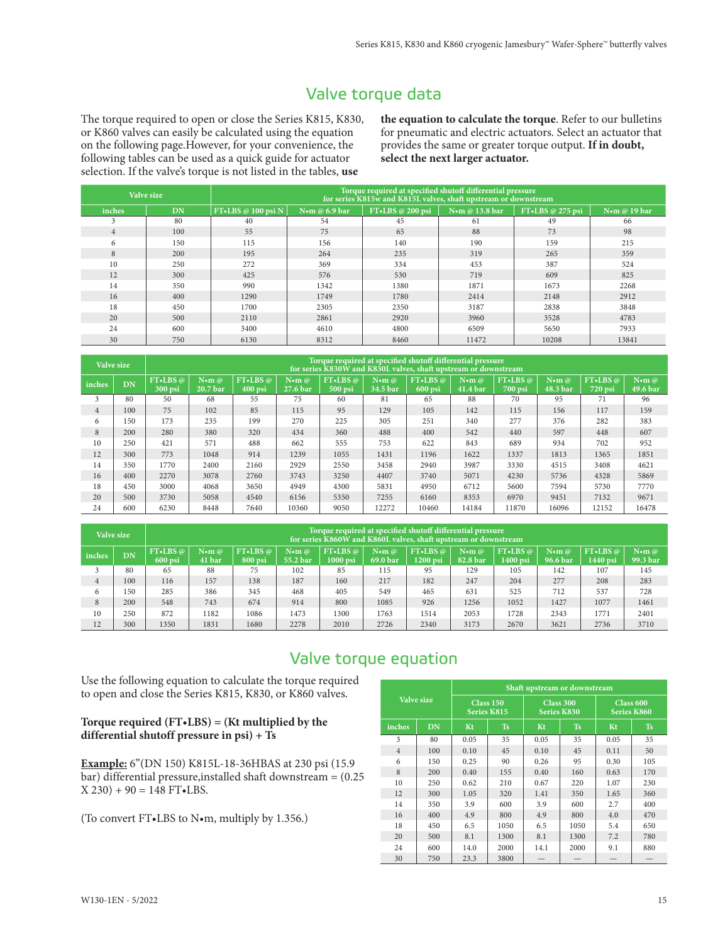# Valve torque data

The torque required to open or close the Series K815, K830, or K860 valves can easily be calculated using the equation on the following page.However, for your convenience, the following tables can be used as a quick guide for actuator selection. If the valve's torque is not listed in the tables, **use** 

**the equation to calculate the torque**. Refer to our bulletins for pneumatic and electric actuators. Select an actuator that provides the same or greater torque output. **If in doubt, select the next larger actuator.**

|                | Valve size | Torque required at specified shutoff differential pressure<br>for series K815w and K815L valves, shaft upstream or downstream |                 |                     |                |                  |              |  |  |  |  |  |  |
|----------------|------------|-------------------------------------------------------------------------------------------------------------------------------|-----------------|---------------------|----------------|------------------|--------------|--|--|--|--|--|--|
| inches         | DN         | FT • LBS $@100$ psi N                                                                                                         | N•m @ $6.9$ bar | $FT$ •LBS @ 200 psi | N•m @ 13.8 bar | FT.LBS @ 275 psi | Nom @ 19 bar |  |  |  |  |  |  |
| 3              | 80         | 40                                                                                                                            | 54              | 45                  | 61             | 49               | 66           |  |  |  |  |  |  |
| $\overline{4}$ | 100        | 55                                                                                                                            | 75              | 65                  | 88             | 73               | 98           |  |  |  |  |  |  |
| 6              | 150        | 115                                                                                                                           | 156             | 140                 | 190            | 159              | 215          |  |  |  |  |  |  |
| 8              | 200        | 195                                                                                                                           | 264             | 235                 | 319            | 265              | 359          |  |  |  |  |  |  |
| 10             | 250        | 272                                                                                                                           | 369             | 334                 | 453            | 387              | 524          |  |  |  |  |  |  |
| 12             | 300        | 425                                                                                                                           | 576             | 530                 | 719            | 609              | 825          |  |  |  |  |  |  |
| 14             | 350        | 990                                                                                                                           | 1342            | 1380                | 1871           | 1673             | 2268         |  |  |  |  |  |  |
| 16             | 400        | 1290                                                                                                                          | 1749            | 1780                | 2414           | 2148             | 2912         |  |  |  |  |  |  |
| 18             | 450        | 1700                                                                                                                          | 2305            | 2350                | 3187           | 2838             | 3848         |  |  |  |  |  |  |
| 20             | 500        | 2110                                                                                                                          | 2861            | 2920                | 3960           | 3528             | 4783         |  |  |  |  |  |  |
| 24             | 600        | 3400                                                                                                                          | 4610            | 4800                | 6509           | 5650             | 7933         |  |  |  |  |  |  |
| 30             | 750        | 6130                                                                                                                          | 8312            | 8460                | 11472          | 10208            | 13841        |  |  |  |  |  |  |

|                | Valve size | Torque required at specified shutoff differential pressure<br>for series K830W and K830L valves, shaft upstream or downstream |                                                    |                       |                                                    |                       |                                                    |                         |                                                    |                       |                                                         |                       |                                             |  |
|----------------|------------|-------------------------------------------------------------------------------------------------------------------------------|----------------------------------------------------|-----------------------|----------------------------------------------------|-----------------------|----------------------------------------------------|-------------------------|----------------------------------------------------|-----------------------|---------------------------------------------------------|-----------------------|---------------------------------------------|--|
| inches         | <b>DN</b>  | $FT-LES @$<br>300 psi                                                                                                         | $\mathbf{N}\bullet\mathbf{m}$ $\varpi$<br>20.7 bar | $FT-LES @$<br>400 psi | $\mathbf{N}\bullet\mathbf{m}$ $\varpi$<br>27.6 bar | $FT-LES @$<br>500 psi | $\mathbf{N}\bullet\mathbf{m}$ $\varpi$<br>34.5 bar | $FT-LES @$<br>$600$ psi | $\mathbf{N}\bullet\mathbf{m}$ $\varpi$<br>41.4 bar | $FT-LES @$<br>700 psi | $\mathbf{N}\bullet\mathbf{m}$ $\varnothing$<br>48.3 bar | $FT-LES @$<br>720 psi | $\mathbf{N}\bullet\mathbf{m}$ @<br>49.6 bar |  |
| 3              | 80         | 50                                                                                                                            | 68                                                 | 55                    | 75                                                 | 60                    | 81                                                 | 65                      | 88                                                 | 70                    | 95                                                      | 71                    | 96                                          |  |
| $\overline{4}$ | 100        | 75                                                                                                                            | 102                                                | 85                    | 115                                                | 95                    | 129                                                | 105                     | 142                                                | 115                   | 156                                                     | 117                   | 159                                         |  |
| 6              | 150        | 173                                                                                                                           | 235                                                | 199                   | 270                                                | 225                   | 305                                                | 251                     | 340                                                | 277                   | 376                                                     | 282                   | 383                                         |  |
| 8              | 200        | 280                                                                                                                           | 380                                                | 320                   | 434                                                | 360                   | 488                                                | 400                     | 542                                                | 440                   | 597                                                     | 448                   | 607                                         |  |
| 10             | 250        | 421                                                                                                                           | 571                                                | 488                   | 662                                                | 555                   | 753                                                | 622                     | 843                                                | 689                   | 934                                                     | 702                   | 952                                         |  |
| 12             | 300        | 773                                                                                                                           | 1048                                               | 914                   | 1239                                               | 1055                  | 1431                                               | 1196                    | 1622                                               | 1337                  | 1813                                                    | 1365                  | 1851                                        |  |
| 14             | 350        | 1770                                                                                                                          | 2400                                               | 2160                  | 2929                                               | 2550                  | 3458                                               | 2940                    | 3987                                               | 3330                  | 4515                                                    | 3408                  | 4621                                        |  |
| 16             | 400        | 2270                                                                                                                          | 3078                                               | 2760                  | 3743                                               | 3250                  | 4407                                               | 3740                    | 5071                                               | 4230                  | 5736                                                    | 4328                  | 5869                                        |  |
| 18             | 450        | 3000                                                                                                                          | 4068                                               | 3650                  | 4949                                               | 4300                  | 5831                                               | 4950                    | 6712                                               | 5600                  | 7594                                                    | 5730                  | 7770                                        |  |
| 20             | 500        | 3730                                                                                                                          | 5058                                               | 4540                  | 6156                                               | 5350                  | 7255                                               | 6160                    | 8353                                               | 6970                  | 9451                                                    | 7132                  | 9671                                        |  |
| 24             | 600        | 6230                                                                                                                          | 8448                                               | 7640                  | 10360                                              | 9050                  | 12272                                              | 10460                   | 14184                                              | 11870                 | 16096                                                   | 12152                 | 16478                                       |  |

|        | Valve size | Torque required at specified shutoff differential pressure<br>for series K860W and K860L valves, shaft upstream or downstream |                                                  |                         |                                                    |                        |                                                    |                          |                                                    |                        |                                             |                        |                                                    |
|--------|------------|-------------------------------------------------------------------------------------------------------------------------------|--------------------------------------------------|-------------------------|----------------------------------------------------|------------------------|----------------------------------------------------|--------------------------|----------------------------------------------------|------------------------|---------------------------------------------|------------------------|----------------------------------------------------|
| inches | DN         | $FT-LES @$<br>$600$ psi                                                                                                       | $\mathbf{N}\bullet\mathbf{m}$ $\varpi$<br>41 bar | $FT-LES @$<br>$800$ psi | $\mathbf{N}\bullet\mathbf{m}$ $\varpi$<br>55.2 bar | $FT-LES @$<br>1000 psi | $\mathbf{N}\bullet\mathbf{m}$ $\varpi$<br>69.0 bar | $FT-LES @$<br>$1200$ psi | $\mathbf{N}\bullet\mathbf{m}$ $\varpi$<br>82.8 bar | $FT-LES @$<br>1400 psi | $\mathbf{N}\bullet\mathbf{m}$ @<br>96.6 bar | $FT-LES @$<br>1440 psi | $\mathbf{N}\bullet\mathbf{m}$ $\varpi$<br>99.3 bar |
|        | 80         | 65                                                                                                                            | 88                                               | 75                      | 102                                                | 85                     | 115                                                | 95                       | 129                                                | 105                    | 142                                         | 107                    | 145                                                |
| 4      | 100        | 116                                                                                                                           | 157                                              | 138                     | 187                                                | 160                    | 217                                                | 182                      | 247                                                | 204                    | 277                                         | 208                    | 283                                                |
| 6      | 150        | 285                                                                                                                           | 386                                              | 345                     | 468                                                | 405                    | 549                                                | 465                      | 631                                                | 525                    | 712                                         | 537                    | 728                                                |
| 8      | 200        | 548                                                                                                                           | 743                                              | 674                     | 914                                                | 800                    | 1085                                               | 926                      | 1256                                               | 1052                   | 1427                                        | 1077                   | 1461                                               |
| 10     | 250        | 872                                                                                                                           | 1182                                             | 1086                    | 1473                                               | 1300                   | 1763                                               | 1514                     | 2053                                               | 1728                   | 2343                                        | 1771                   | 2401                                               |
| 12     | 300        | 1350                                                                                                                          | 1831                                             | 1680                    | 2278                                               | 2010                   | 2726                                               | 2340                     | 3173                                               | 2670                   | 3621                                        | 2736                   | 3710                                               |

# Valve torque equation

Use the following equation to calculate the torque required to open and close the Series K815, K830, or K860 valves.

#### **Torque required (FT•LBS) = (Kt multiplied by the differential shutoff pressure in psi) + Ts**

**Example:** 6"(DN 150) K815L-18-36HBAS at 230 psi (15.9 bar) differential pressure,installed shaft downstream = (0.25  $X$  230) + 90 = 148 FT $\cdot$ LBS.

(To convert FT•LBS to N•m, multiply by 1.356.)

|                |            |                    |           | Shaft upstream or downstream |                    |                          |           |  |
|----------------|------------|--------------------|-----------|------------------------------|--------------------|--------------------------|-----------|--|
|                | Valve size | <b>Series K815</b> | Class 150 | Class 300                    | <b>Series K830</b> | Class 600<br>Series K860 |           |  |
| inches         | <b>DN</b>  | Kt                 | <b>Ts</b> | Kt                           | <b>Ts</b>          | Kt                       | <b>Ts</b> |  |
| 3              | 80         | 0.05               | 35        | 0.05                         | 35                 | 0.05                     | 35        |  |
| $\overline{4}$ | 100        | 0.10               | 45        | 0.10                         | 45                 | 0.11                     | 50        |  |
| 6              | 150        | 0.25               | 90        | 0.26                         | 95                 | 0.30                     | 105       |  |
| 8              | 200        | 0.40               | 155       | 0.40                         | 160                | 0.63                     | 170       |  |
| 10             | 250        | 0.62               | 210       | 0.67                         | 220                | 1.07                     | 230       |  |
| 12             | 300        | 1.05               | 320       | 1.41                         | 350                | 1.65                     | 360       |  |
| 14             | 350        | 3.9                | 600       | 3.9                          | 600                | 2.7                      | 400       |  |
| 16             | 400        | 4.9                | 800       | 4.9                          | 800                | 4.0                      | 470       |  |
| 18             | 450        | 6.5                | 1050      | 6.5                          | 1050               | 5.4                      | 650       |  |
| 20             | 500        | 1300<br>8.1        |           | 8.1                          | 1300               | 7.2                      | 780       |  |
| 24             | 600        | 14.0<br>2000       |           | 14.1                         | 2000               | 9.1                      | 880       |  |
| 30             | 750        | 23.3               | 3800      |                              |                    |                          |           |  |